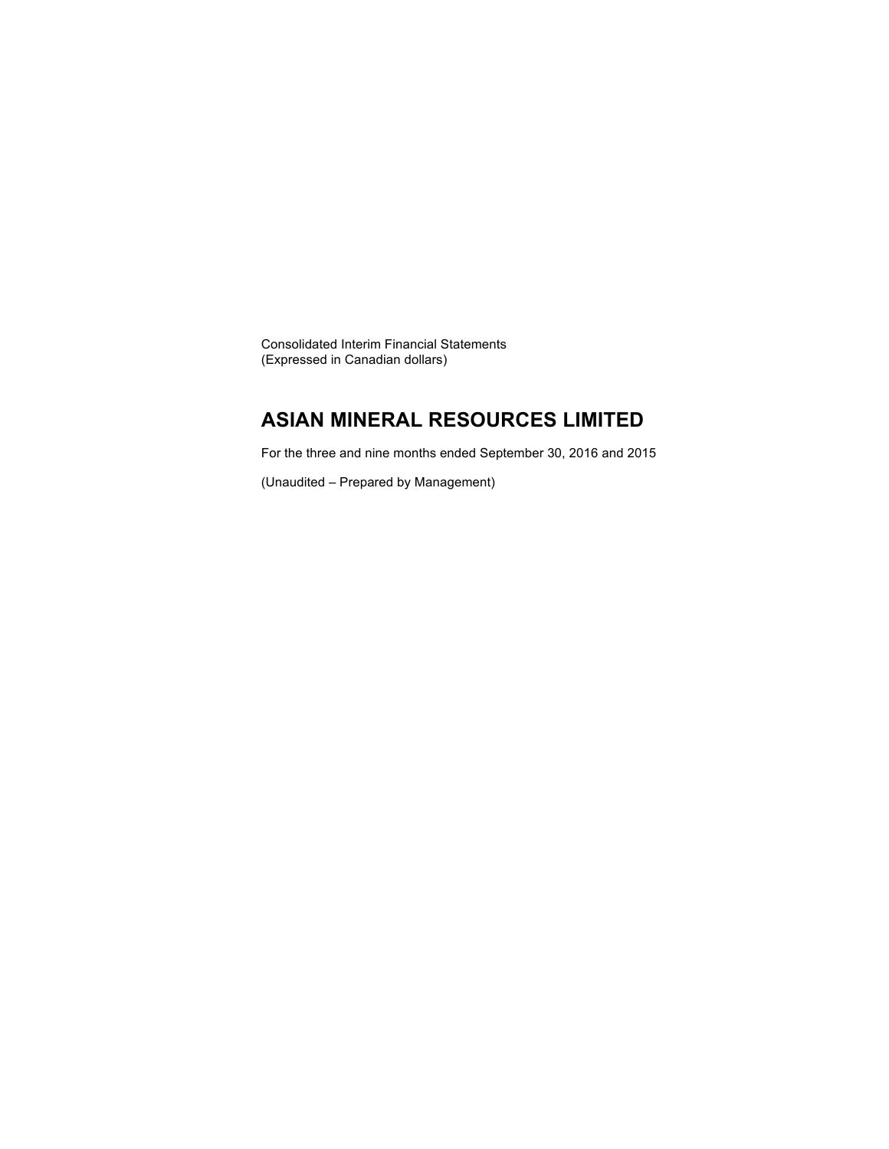Consolidated Interim Financial Statements (Expressed in Canadian dollars)

## **ASIAN MINERAL RESOURCES LIMITED**

For the three and nine months ended September 30, 2016 and 2015

(Unaudited – Prepared by Management)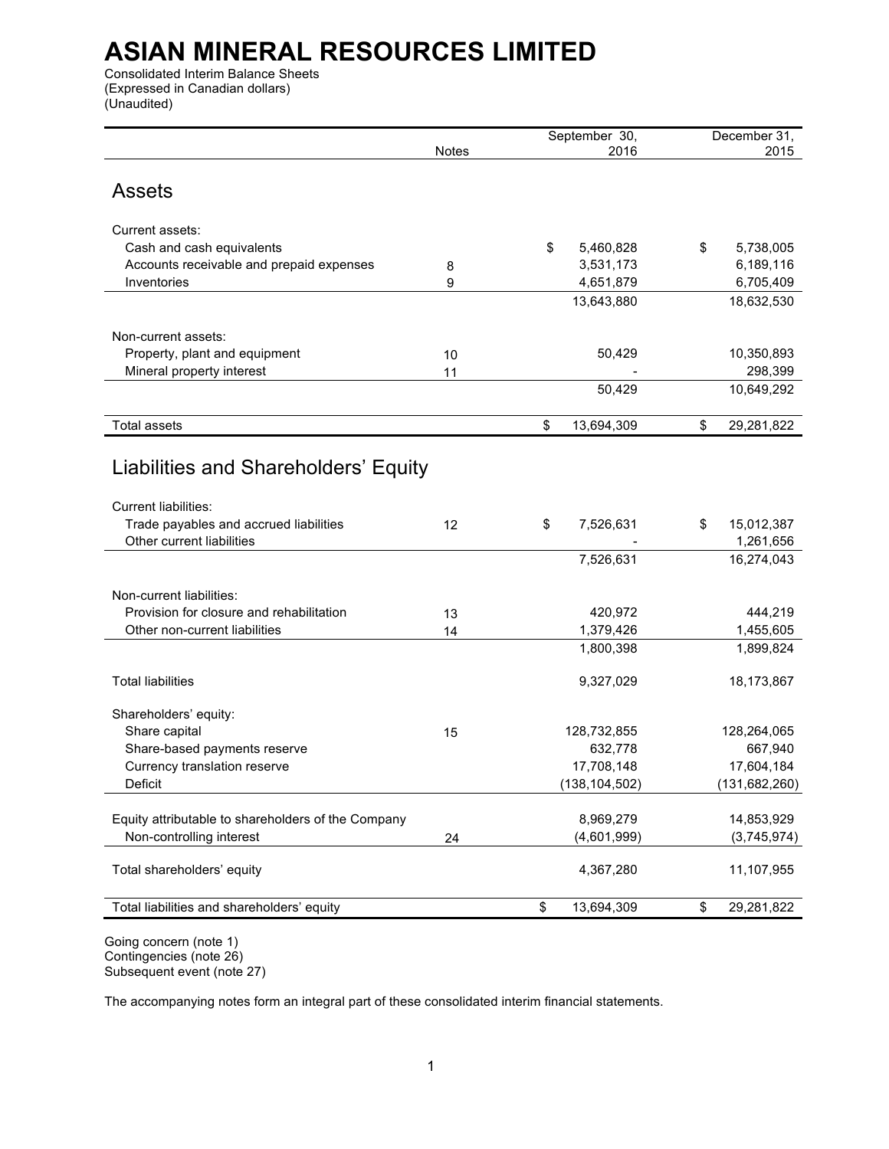Consolidated Interim Balance Sheets (Expressed in Canadian dollars) (Unaudited)

|                                                              |              | September 30,          | December 31,           |
|--------------------------------------------------------------|--------------|------------------------|------------------------|
|                                                              | <b>Notes</b> | 2016                   | 2015                   |
| <b>Assets</b>                                                |              |                        |                        |
| Current assets:                                              |              |                        |                        |
| Cash and cash equivalents                                    |              | \$<br>5,460,828        | \$<br>5,738,005        |
| Accounts receivable and prepaid expenses                     | 8            | 3,531,173              | 6,189,116              |
| Inventories                                                  | 9            | 4,651,879              | 6,705,409              |
|                                                              |              | 13,643,880             | 18,632,530             |
|                                                              |              |                        |                        |
| Non-current assets:                                          |              |                        |                        |
| Property, plant and equipment                                | 10           | 50,429                 | 10,350,893             |
| Mineral property interest                                    | 11           |                        | 298,399                |
|                                                              |              | 50,429                 | 10,649,292             |
| <b>Total assets</b>                                          |              | \$<br>13,694,309       | \$<br>29,281,822       |
|                                                              |              |                        |                        |
| Liabilities and Shareholders' Equity                         |              |                        |                        |
| Current liabilities:                                         |              |                        |                        |
| Trade payables and accrued liabilities                       | 12           | \$<br>7,526,631        | \$<br>15,012,387       |
| Other current liabilities                                    |              |                        | 1,261,656              |
|                                                              |              | 7,526,631              | 16,274,043             |
|                                                              |              |                        |                        |
| Non-current liabilities:                                     |              |                        |                        |
| Provision for closure and rehabilitation                     | 13           | 420,972                | 444,219                |
| Other non-current liabilities                                | 14           | 1,379,426<br>1,800,398 | 1,455,605<br>1,899,824 |
|                                                              |              |                        |                        |
| <b>Total liabilities</b>                                     |              | 9,327,029              | 18,173,867             |
|                                                              |              |                        |                        |
| Shareholders' equity:                                        |              |                        |                        |
| Share capital                                                | 15           | 128,732,855<br>632,778 | 128,264,065<br>667,940 |
| Share-based payments reserve<br>Currency translation reserve |              | 17,708,148             | 17,604,184             |
| Deficit                                                      |              | (138, 104, 502)        | (131, 682, 260)        |
|                                                              |              |                        |                        |
| Equity attributable to shareholders of the Company           |              | 8,969,279              | 14,853,929             |
| Non-controlling interest                                     | 24           | (4,601,999)            | (3,745,974)            |
| Total shareholders' equity                                   |              | 4,367,280              | 11,107,955             |
| Total liabilities and shareholders' equity                   |              | \$<br>13,694,309       | \$<br>29,281,822       |
|                                                              |              |                        |                        |

Going concern (note 1) Contingencies (note 26) Subsequent event (note 27)

The accompanying notes form an integral part of these consolidated interim financial statements.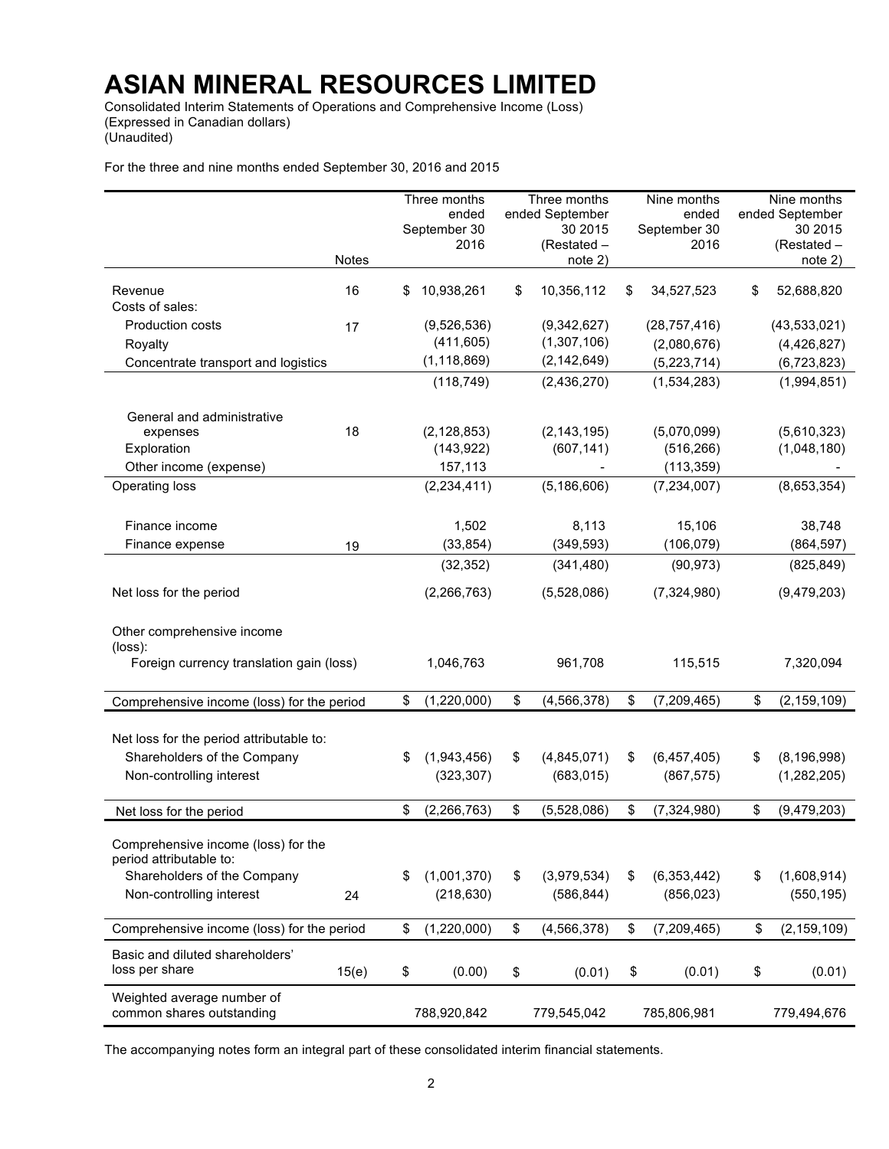Consolidated Interim Statements of Operations and Comprehensive Income (Loss) (Expressed in Canadian dollars) (Unaudited)

For the three and nine months ended September 30, 2016 and 2015

|                                                                |              | Three months<br>ended<br>September 30<br>2016 | Three months<br>ended September<br>30 2015<br>(Restated – |    | Nine months<br>ended<br>September 30<br>2016 | Nine months<br>ended September<br>30 2015<br>(Restated – |
|----------------------------------------------------------------|--------------|-----------------------------------------------|-----------------------------------------------------------|----|----------------------------------------------|----------------------------------------------------------|
|                                                                | <b>Notes</b> |                                               | note 2)                                                   |    |                                              | note 2)                                                  |
| Revenue<br>Costs of sales:                                     | 16           | \$<br>10,938,261                              | \$<br>10,356,112                                          | \$ | 34,527,523                                   | \$<br>52,688,820                                         |
| <b>Production costs</b>                                        | 17           | (9,526,536)                                   | (9,342,627)                                               |    | (28, 757, 416)                               | (43,533,021)                                             |
| Royalty                                                        |              | (411, 605)                                    | (1,307,106)                                               |    | (2,080,676)                                  | (4,426,827)                                              |
| Concentrate transport and logistics                            |              | (1, 118, 869)                                 | (2, 142, 649)                                             |    | (5,223,714)                                  | (6,723,823)                                              |
|                                                                |              | (118, 749)                                    | (2,436,270)                                               |    | (1,534,283)                                  | (1,994,851)                                              |
| General and administrative<br>expenses<br>Exploration          | 18           | (2, 128, 853)<br>(143, 922)                   | (2, 143, 195)<br>(607, 141)                               |    | (5,070,099)<br>(516, 266)                    | (5,610,323)<br>(1,048,180)                               |
| Other income (expense)                                         |              | 157,113                                       |                                                           |    | (113, 359)                                   |                                                          |
| Operating loss                                                 |              | (2, 234, 411)                                 | (5, 186, 606)                                             |    | (7, 234, 007)                                | (8,653,354)                                              |
| Finance income                                                 |              | 1,502                                         | 8,113                                                     |    | 15,106                                       | 38,748                                                   |
| Finance expense                                                | 19           | (33, 854)                                     | (349, 593)                                                |    | (106, 079)                                   | (864, 597)                                               |
|                                                                |              | (32, 352)                                     | (341, 480)                                                |    | (90, 973)                                    | (825, 849)                                               |
| Net loss for the period                                        |              | (2,266,763)                                   | (5,528,086)                                               |    | (7,324,980)                                  | (9,479,203)                                              |
| Other comprehensive income<br>$(\text{loss})$ :                |              |                                               |                                                           |    |                                              |                                                          |
| Foreign currency translation gain (loss)                       |              | 1,046,763                                     | 961,708                                                   |    | 115,515                                      | 7,320,094                                                |
| Comprehensive income (loss) for the period                     |              | \$<br>(1,220,000)                             | \$<br>(4, 566, 378)                                       | \$ | (7, 209, 465)                                | \$<br>(2, 159, 109)                                      |
| Net loss for the period attributable to:                       |              |                                               |                                                           |    |                                              |                                                          |
| Shareholders of the Company                                    |              | \$<br>(1,943,456)                             | \$<br>(4,845,071)                                         | S  | (6,457,405)                                  | \$<br>(8, 196, 998)                                      |
| Non-controlling interest                                       |              | (323, 307)                                    | (683, 015)                                                |    | (867, 575)                                   | (1, 282, 205)                                            |
| Net loss for the period                                        |              | \$<br>(2, 266, 763)                           | \$<br>(5,528,086)                                         | \$ | (7, 324, 980)                                | \$<br>(9,479,203)                                        |
| Comprehensive income (loss) for the<br>period attributable to: |              |                                               |                                                           |    |                                              |                                                          |
| Shareholders of the Company                                    |              | \$<br>(1,001,370)                             | \$<br>(3,979,534)                                         | \$ | (6, 353, 442)                                | \$<br>(1,608,914)                                        |
| Non-controlling interest                                       | 24           | (218, 630)                                    | (586, 844)                                                |    | (856, 023)                                   | (550, 195)                                               |
| Comprehensive income (loss) for the period                     |              | \$<br>(1,220,000)                             | \$<br>(4, 566, 378)                                       | \$ | (7,209,465)                                  | \$<br>(2, 159, 109)                                      |
| Basic and diluted shareholders'<br>loss per share              | 15(e)        | \$<br>(0.00)                                  | \$<br>(0.01)                                              | \$ | (0.01)                                       | \$<br>(0.01)                                             |
| Weighted average number of<br>common shares outstanding        |              | 788,920,842                                   | 779,545,042                                               |    | 785,806,981                                  | 779,494,676                                              |

The accompanying notes form an integral part of these consolidated interim financial statements.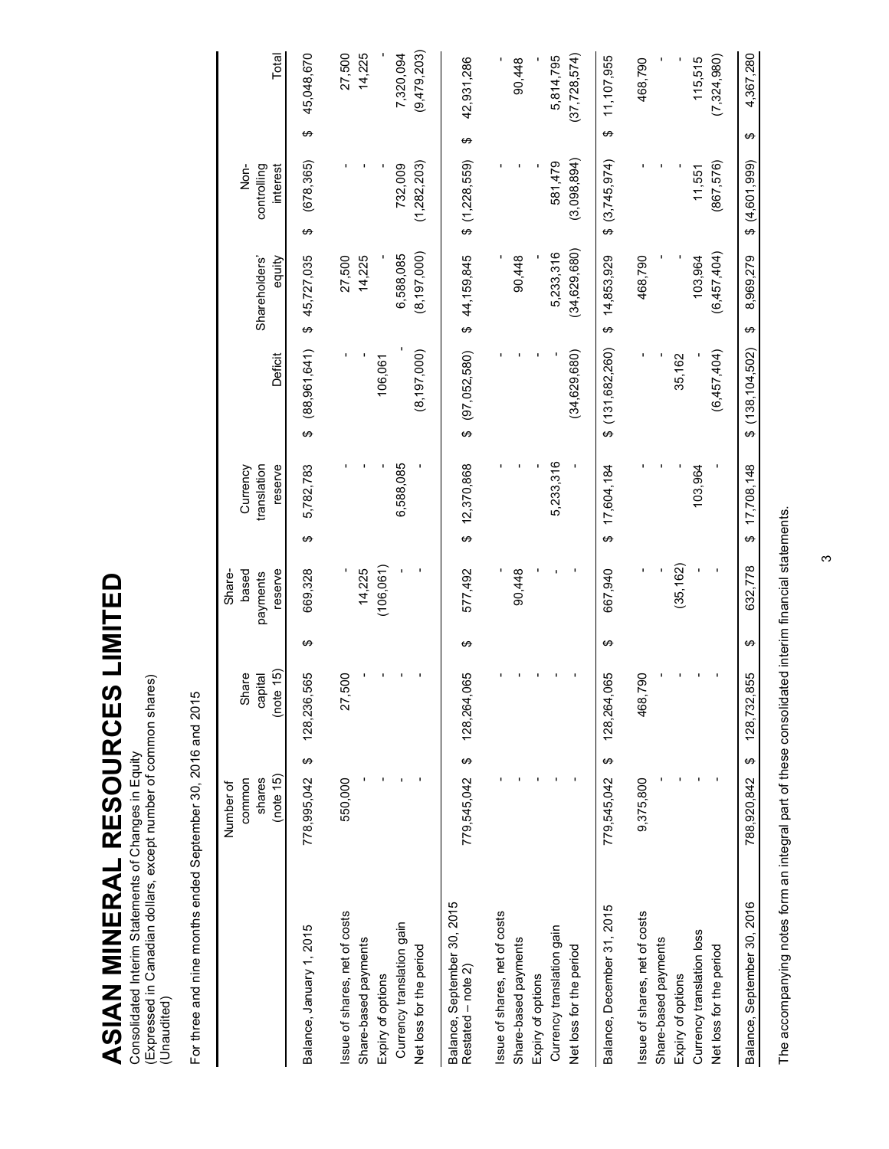ASIAN MINERAL RESOURCES LIMITED **ASIAN MINERAL RESOURCES LIMITED** Consolidated Interim Statements of Changes in Equity<br>(Expressed in Canadian dollars, except number of common shares)<br>(Unaudited) (Expressed in Canadian dollars, except number of common shares) Consolidated Interim Statements of Changes in Equity (Unaudited)

| ទ<br>ត                |
|-----------------------|
| ς                     |
| .<br>م<br>)<br>.      |
|                       |
| č                     |
|                       |
|                       |
|                       |
| ;<br>)<br>l<br>Ĭ<br>L |
|                       |

| 4,367,280<br>↮  | \$(4.601.999)                   | 8,969,279<br>↔          | (138, 104, 502)<br>ക | 17,708,148<br>↔                    | 632.778                      | ↔ | 855<br>128,732,               | ↔        | 788,920,842                   | Balance, September 30, 2016                       |
|-----------------|---------------------------------|-------------------------|----------------------|------------------------------------|------------------------------|---|-------------------------------|----------|-------------------------------|---------------------------------------------------|
|                 |                                 |                         |                      |                                    |                              |   |                               |          |                               |                                                   |
| (7, 324, 980)   | (867,576)                       | (6,457,404)             | (6,457,404)          |                                    |                              |   |                               |          |                               | Net loss for the period                           |
| 115,515         | 11,551                          | 103,964                 |                      | 103,964                            |                              |   |                               |          |                               | Currency translation loss                         |
|                 |                                 |                         | 35,162               |                                    | (35, 162)                    |   |                               |          |                               | Expiry of options                                 |
|                 |                                 |                         |                      |                                    |                              |   |                               |          |                               | Share-based payments                              |
| 468,790         |                                 | 468,790                 |                      |                                    |                              |   | 790<br>468,7                  |          | 9,375,800                     | Issue of shares, net of costs                     |
|                 |                                 |                         |                      |                                    |                              |   |                               |          |                               |                                                   |
| 11,107,955<br>↮ | \$(3,745,974)                   | 14,853,929<br>↮         | (131, 682, 260)<br>ക | 17,604,184<br>↮                    | 667,940                      | ↮ | 128,264,065                   | ↮        | 779,545,042                   | Balance, December 31, 2015                        |
| (37, 728, 574)  | (3,098,894)                     | (34, 629, 680)          | (34, 629, 680)       |                                    |                              |   |                               |          |                               | Net loss for the period                           |
| 5,814,795       | 581,479                         | 5,233,316               |                      | 5,233,316                          |                              |   |                               |          |                               | Currency translation gain                         |
|                 |                                 |                         |                      |                                    |                              |   |                               |          |                               | Expiry of options                                 |
| 90,448          |                                 | 90,448                  |                      |                                    | 90,448                       |   |                               |          |                               | Share-based payments                              |
|                 |                                 |                         |                      |                                    |                              |   |                               |          |                               | Issue of shares, net of costs                     |
| 42,931,286<br>↮ | \$(1,228,559)                   | \$44,159,845            | $$^{(97,052,580)}$   | \$12,370,868                       | 577,492                      | ↮ | 128,264,065                   | $\Theta$ | 779,545,042                   | Balance, September 30, 2015<br>Restated - note 2) |
| (9,479,203)     | (1,282,203)                     | (8, 197, 000)           | (8, 197, 000)        |                                    |                              |   |                               |          |                               | Net loss for the period                           |
| 7,320,094       | 732,009                         | 6,588,085               |                      | 6,588,085                          |                              |   |                               |          |                               | Currency translation gain                         |
|                 |                                 |                         | 106,061              |                                    | (106, 061)                   |   |                               |          |                               | Expiry of options                                 |
| 14,225          |                                 | 14,225                  |                      |                                    | 14,225                       |   |                               |          |                               | Share-based payments                              |
| 27,500          |                                 | 27,500                  |                      |                                    |                              |   | 27,500                        |          | 550,000                       | Issue of shares, net of costs                     |
| 45,048,670<br>↮ | (678, 365)<br>↮                 | 45,727,035<br>↔         | (88, 961, 641)<br>↮  | 5,782,783<br>↮                     | 669,328                      | ↮ | 128,236,565                   | ↮        | 778,995,042                   | Balance, January 1, 2015                          |
| Total           | Non-<br>controlling<br>interest | Shareholders'<br>equity | Deficit              | translation<br>reserve<br>Currency | reserve<br>based<br>payments |   | (note 15)<br>Share<br>capital |          | (note 15)<br>common<br>shares |                                                   |
|                 |                                 |                         |                      |                                    | Share-                       |   |                               |          | Number of                     |                                                   |

The accompanying notes form an integral part of these consolidated interim financial statements. The accompanying notes form an integral part of these consolidated interim financial statements.

ო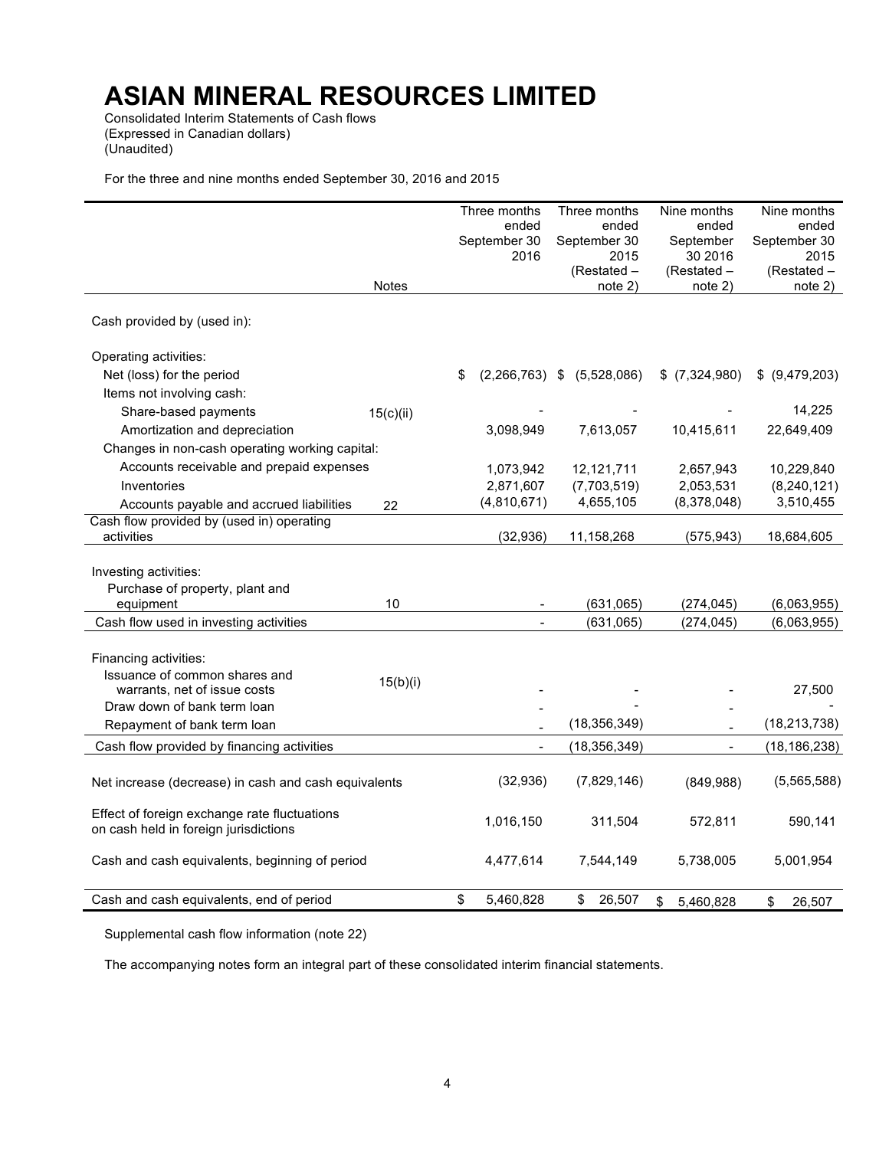Consolidated Interim Statements of Cash flows (Expressed in Canadian dollars) (Unaudited)

For the three and nine months ended September 30, 2016 and 2015

|                                                                                       |           | Three months<br>ended<br>September 30<br>2016 | Three months<br>ended<br>September 30<br>2015 | Nine months<br>ended<br>September<br>30 2016 | Nine months<br>ended<br>September 30<br>2015 |
|---------------------------------------------------------------------------------------|-----------|-----------------------------------------------|-----------------------------------------------|----------------------------------------------|----------------------------------------------|
|                                                                                       | Notes     |                                               | (Restated –<br>note 2)                        | (Restated –<br>note 2)                       | (Restated –<br>note 2)                       |
| Cash provided by (used in):                                                           |           |                                               |                                               |                                              |                                              |
| Operating activities:                                                                 |           |                                               |                                               |                                              |                                              |
| Net (loss) for the period                                                             |           | \$<br>$(2,266,763)$ \$                        | (5,528,086)                                   | $$$ (7,324,980)                              | \$ (9,479,203)                               |
| Items not involving cash:                                                             |           |                                               |                                               |                                              |                                              |
| Share-based payments                                                                  | 15(c)(ii) |                                               |                                               |                                              | 14,225                                       |
| Amortization and depreciation                                                         |           | 3,098,949                                     | 7,613,057                                     | 10,415,611                                   | 22,649,409                                   |
| Changes in non-cash operating working capital:                                        |           |                                               |                                               |                                              |                                              |
| Accounts receivable and prepaid expenses                                              |           | 1,073,942                                     | 12,121,711                                    | 2,657,943                                    | 10,229,840                                   |
| Inventories                                                                           |           | 2,871,607                                     | (7,703,519)                                   | 2,053,531                                    | (8,240,121)                                  |
| Accounts payable and accrued liabilities                                              | 22        | (4,810,671)                                   | 4,655,105                                     | (8,378,048)                                  | 3,510,455                                    |
| Cash flow provided by (used in) operating<br>activities                               |           | (32, 936)                                     | 11,158,268                                    | (575, 943)                                   | 18,684,605                                   |
|                                                                                       |           |                                               |                                               |                                              |                                              |
| Investing activities:                                                                 |           |                                               |                                               |                                              |                                              |
| Purchase of property, plant and                                                       |           |                                               |                                               |                                              |                                              |
| equipment                                                                             | 10        |                                               | (631,065)                                     | (274, 045)                                   | (6,063,955)                                  |
| Cash flow used in investing activities                                                |           | $\overline{a}$                                | (631,065)                                     | (274, 045)                                   | (6,063,955)                                  |
|                                                                                       |           |                                               |                                               |                                              |                                              |
| Financing activities:                                                                 |           |                                               |                                               |                                              |                                              |
| Issuance of common shares and                                                         | 15(b)(i)  |                                               |                                               |                                              |                                              |
| warrants, net of issue costs                                                          |           |                                               |                                               |                                              | 27,500                                       |
| Draw down of bank term loan                                                           |           |                                               | (18, 356, 349)                                |                                              | (18, 213, 738)                               |
| Repayment of bank term loan                                                           |           |                                               |                                               |                                              |                                              |
| Cash flow provided by financing activities                                            |           | $\blacksquare$                                | (18, 356, 349)                                |                                              | (18, 186, 238)                               |
| Net increase (decrease) in cash and cash equivalents                                  |           | (32, 936)                                     | (7,829,146)                                   | (849,988)                                    | (5,565,588)                                  |
| Effect of foreign exchange rate fluctuations<br>on cash held in foreign jurisdictions |           | 1,016,150                                     | 311,504                                       | 572,811                                      | 590,141                                      |
| Cash and cash equivalents, beginning of period                                        |           | 4,477,614                                     | 7,544,149                                     | 5,738,005                                    | 5,001,954                                    |
| Cash and cash equivalents, end of period                                              |           | \$<br>5,460,828                               | \$<br>26,507                                  | \$<br>5,460,828                              | 26,507<br>\$                                 |

Supplemental cash flow information (note 22)

The accompanying notes form an integral part of these consolidated interim financial statements.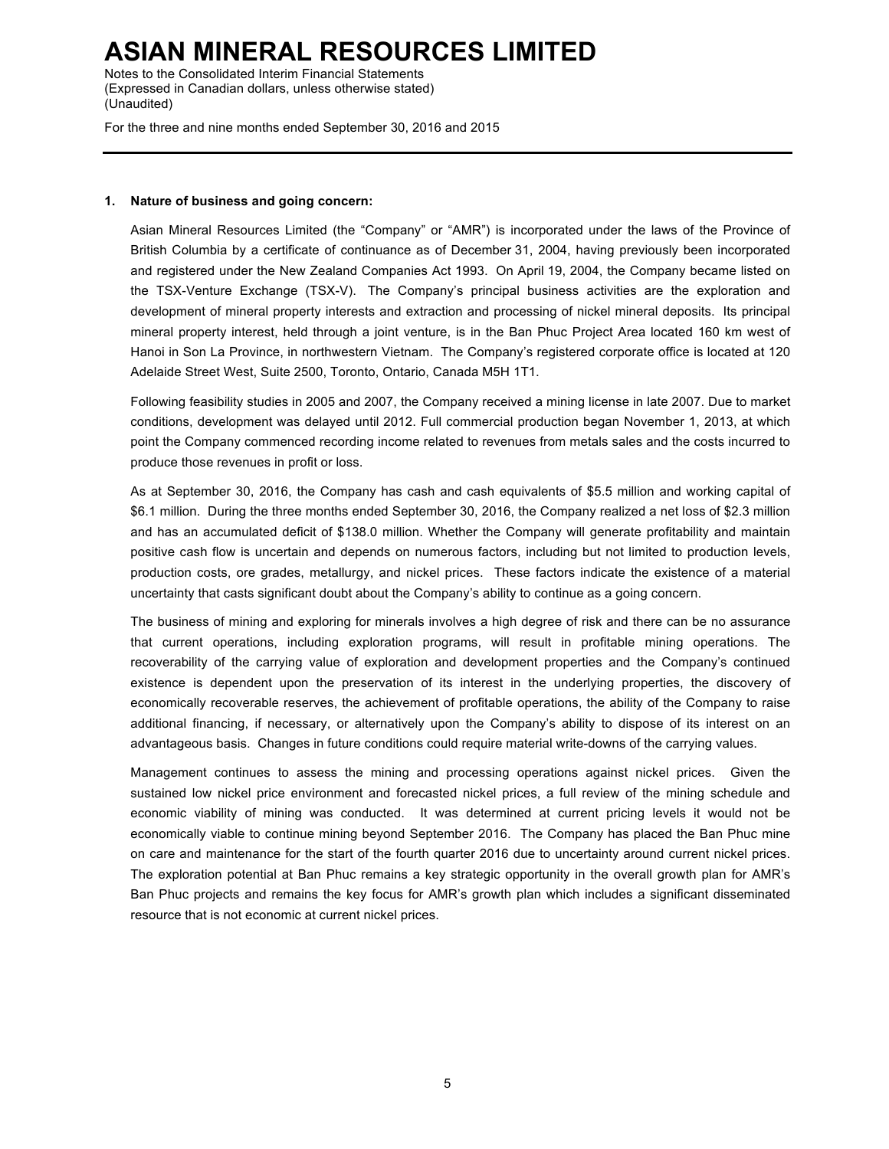Notes to the Consolidated Interim Financial Statements (Expressed in Canadian dollars, unless otherwise stated) (Unaudited)

For the three and nine months ended September 30, 2016 and 2015

### **1. Nature of business and going concern:**

Asian Mineral Resources Limited (the "Company" or "AMR") is incorporated under the laws of the Province of British Columbia by a certificate of continuance as of December 31, 2004, having previously been incorporated and registered under the New Zealand Companies Act 1993. On April 19, 2004, the Company became listed on the TSX-Venture Exchange (TSX-V). The Company's principal business activities are the exploration and development of mineral property interests and extraction and processing of nickel mineral deposits. Its principal mineral property interest, held through a joint venture, is in the Ban Phuc Project Area located 160 km west of Hanoi in Son La Province, in northwestern Vietnam. The Company's registered corporate office is located at 120 Adelaide Street West, Suite 2500, Toronto, Ontario, Canada M5H 1T1.

Following feasibility studies in 2005 and 2007, the Company received a mining license in late 2007. Due to market conditions, development was delayed until 2012. Full commercial production began November 1, 2013, at which point the Company commenced recording income related to revenues from metals sales and the costs incurred to produce those revenues in profit or loss.

As at September 30, 2016, the Company has cash and cash equivalents of \$5.5 million and working capital of \$6.1 million. During the three months ended September 30, 2016, the Company realized a net loss of \$2.3 million and has an accumulated deficit of \$138.0 million. Whether the Company will generate profitability and maintain positive cash flow is uncertain and depends on numerous factors, including but not limited to production levels, production costs, ore grades, metallurgy, and nickel prices. These factors indicate the existence of a material uncertainty that casts significant doubt about the Company's ability to continue as a going concern.

The business of mining and exploring for minerals involves a high degree of risk and there can be no assurance that current operations, including exploration programs, will result in profitable mining operations. The recoverability of the carrying value of exploration and development properties and the Company's continued existence is dependent upon the preservation of its interest in the underlying properties, the discovery of economically recoverable reserves, the achievement of profitable operations, the ability of the Company to raise additional financing, if necessary, or alternatively upon the Company's ability to dispose of its interest on an advantageous basis. Changes in future conditions could require material write-downs of the carrying values.

Management continues to assess the mining and processing operations against nickel prices. Given the sustained low nickel price environment and forecasted nickel prices, a full review of the mining schedule and economic viability of mining was conducted. It was determined at current pricing levels it would not be economically viable to continue mining beyond September 2016. The Company has placed the Ban Phuc mine on care and maintenance for the start of the fourth quarter 2016 due to uncertainty around current nickel prices. The exploration potential at Ban Phuc remains a key strategic opportunity in the overall growth plan for AMR's Ban Phuc projects and remains the key focus for AMR's growth plan which includes a significant disseminated resource that is not economic at current nickel prices.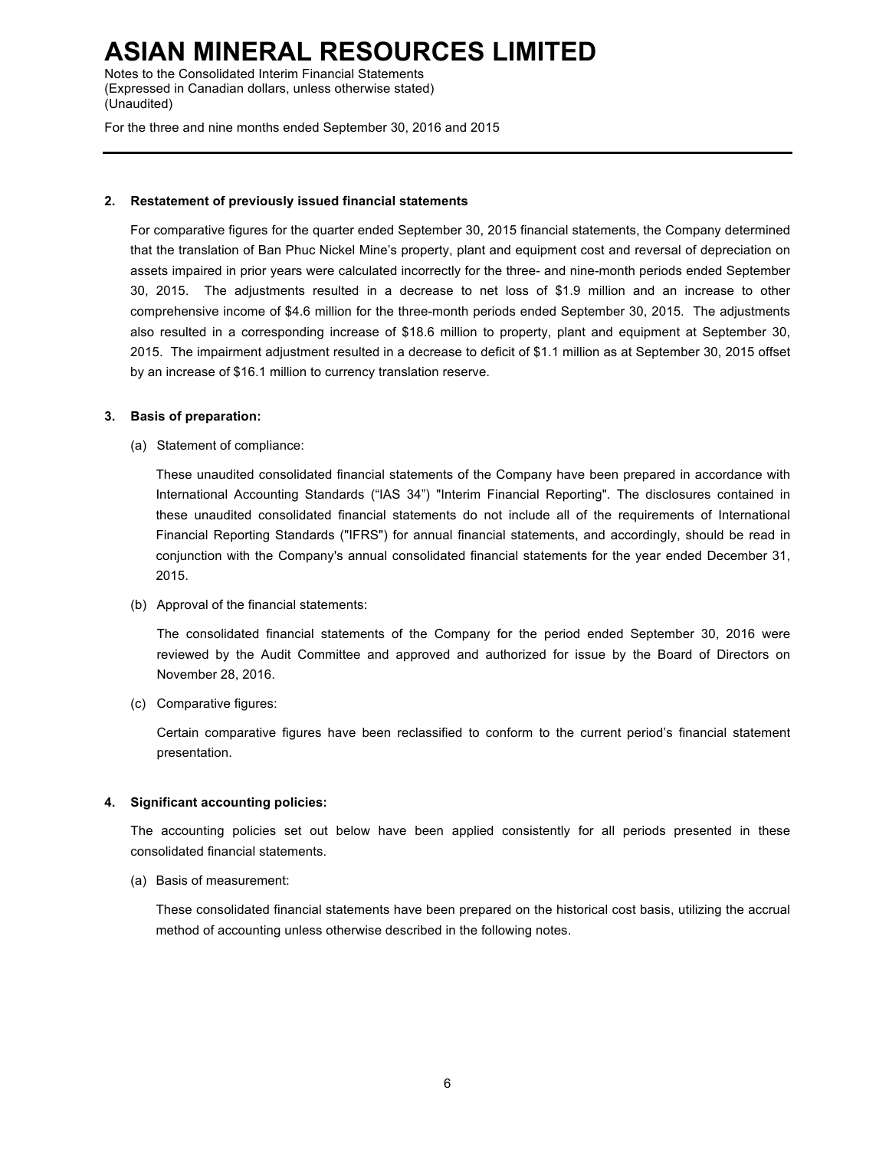Notes to the Consolidated Interim Financial Statements (Expressed in Canadian dollars, unless otherwise stated) (Unaudited)

For the three and nine months ended September 30, 2016 and 2015

#### **2. Restatement of previously issued financial statements**

For comparative figures for the quarter ended September 30, 2015 financial statements, the Company determined that the translation of Ban Phuc Nickel Mine's property, plant and equipment cost and reversal of depreciation on assets impaired in prior years were calculated incorrectly for the three- and nine-month periods ended September 30, 2015. The adjustments resulted in a decrease to net loss of \$1.9 million and an increase to other comprehensive income of \$4.6 million for the three-month periods ended September 30, 2015. The adjustments also resulted in a corresponding increase of \$18.6 million to property, plant and equipment at September 30, 2015. The impairment adjustment resulted in a decrease to deficit of \$1.1 million as at September 30, 2015 offset by an increase of \$16.1 million to currency translation reserve.

### **3. Basis of preparation:**

(a) Statement of compliance:

These unaudited consolidated financial statements of the Company have been prepared in accordance with International Accounting Standards ("IAS 34") "Interim Financial Reporting". The disclosures contained in these unaudited consolidated financial statements do not include all of the requirements of International Financial Reporting Standards ("IFRS") for annual financial statements, and accordingly, should be read in conjunction with the Company's annual consolidated financial statements for the year ended December 31, 2015.

(b) Approval of the financial statements:

The consolidated financial statements of the Company for the period ended September 30, 2016 were reviewed by the Audit Committee and approved and authorized for issue by the Board of Directors on November 28, 2016.

(c) Comparative figures:

Certain comparative figures have been reclassified to conform to the current period's financial statement presentation.

### **4. Significant accounting policies:**

The accounting policies set out below have been applied consistently for all periods presented in these consolidated financial statements.

(a) Basis of measurement:

These consolidated financial statements have been prepared on the historical cost basis, utilizing the accrual method of accounting unless otherwise described in the following notes.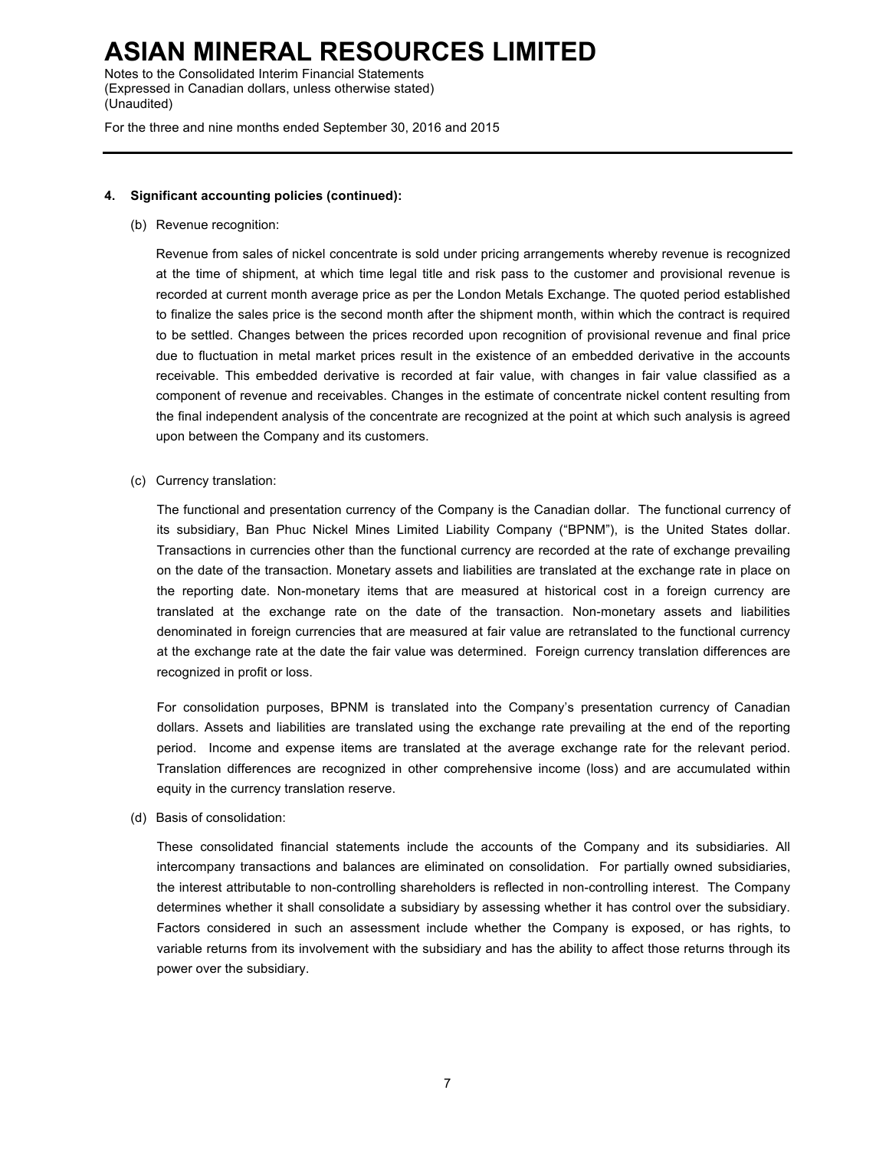Notes to the Consolidated Interim Financial Statements (Expressed in Canadian dollars, unless otherwise stated) (Unaudited)

For the three and nine months ended September 30, 2016 and 2015

## **4. Significant accounting policies (continued):**

(b) Revenue recognition:

Revenue from sales of nickel concentrate is sold under pricing arrangements whereby revenue is recognized at the time of shipment, at which time legal title and risk pass to the customer and provisional revenue is recorded at current month average price as per the London Metals Exchange. The quoted period established to finalize the sales price is the second month after the shipment month, within which the contract is required to be settled. Changes between the prices recorded upon recognition of provisional revenue and final price due to fluctuation in metal market prices result in the existence of an embedded derivative in the accounts receivable. This embedded derivative is recorded at fair value, with changes in fair value classified as a component of revenue and receivables. Changes in the estimate of concentrate nickel content resulting from the final independent analysis of the concentrate are recognized at the point at which such analysis is agreed upon between the Company and its customers.

(c) Currency translation:

The functional and presentation currency of the Company is the Canadian dollar. The functional currency of its subsidiary, Ban Phuc Nickel Mines Limited Liability Company ("BPNM"), is the United States dollar. Transactions in currencies other than the functional currency are recorded at the rate of exchange prevailing on the date of the transaction. Monetary assets and liabilities are translated at the exchange rate in place on the reporting date. Non-monetary items that are measured at historical cost in a foreign currency are translated at the exchange rate on the date of the transaction. Non-monetary assets and liabilities denominated in foreign currencies that are measured at fair value are retranslated to the functional currency at the exchange rate at the date the fair value was determined. Foreign currency translation differences are recognized in profit or loss.

For consolidation purposes, BPNM is translated into the Company's presentation currency of Canadian dollars. Assets and liabilities are translated using the exchange rate prevailing at the end of the reporting period. Income and expense items are translated at the average exchange rate for the relevant period. Translation differences are recognized in other comprehensive income (loss) and are accumulated within equity in the currency translation reserve.

(d) Basis of consolidation:

These consolidated financial statements include the accounts of the Company and its subsidiaries. All intercompany transactions and balances are eliminated on consolidation. For partially owned subsidiaries, the interest attributable to non-controlling shareholders is reflected in non-controlling interest. The Company determines whether it shall consolidate a subsidiary by assessing whether it has control over the subsidiary. Factors considered in such an assessment include whether the Company is exposed, or has rights, to variable returns from its involvement with the subsidiary and has the ability to affect those returns through its power over the subsidiary.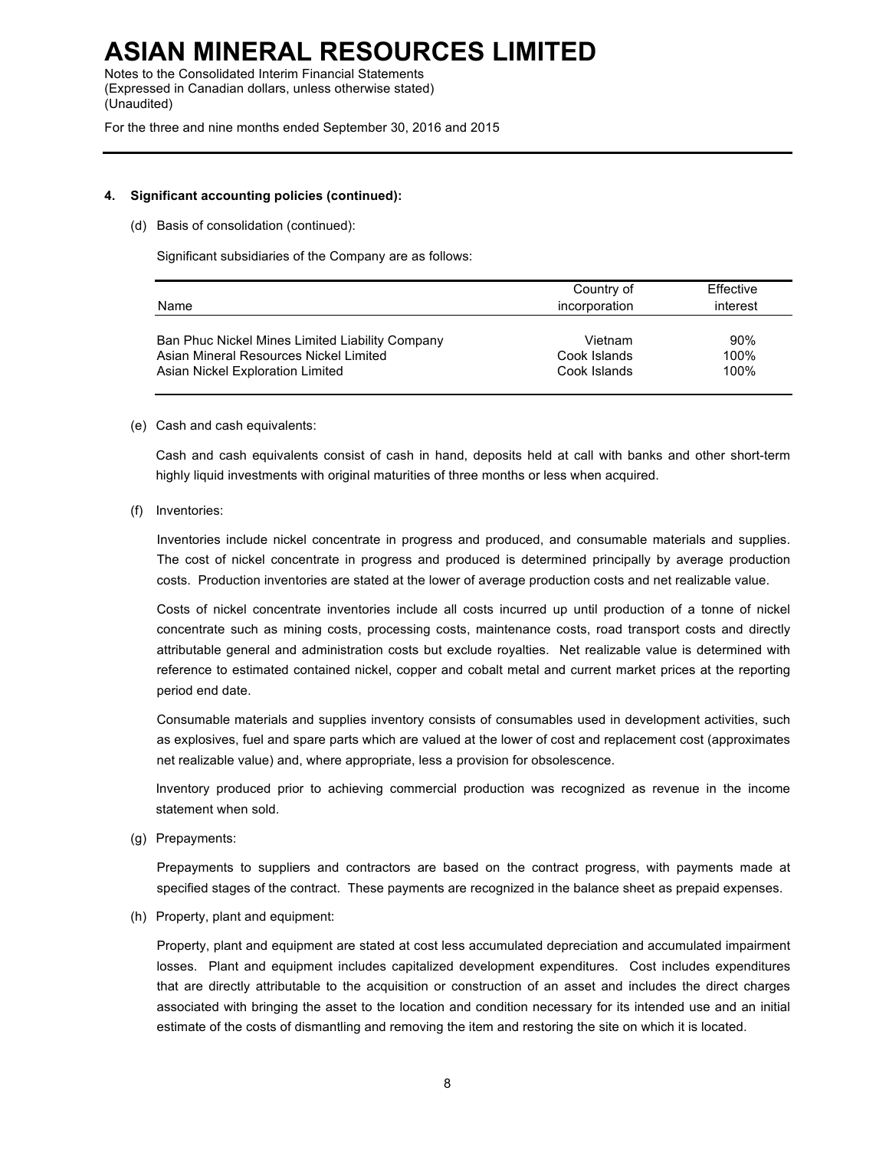Notes to the Consolidated Interim Financial Statements (Expressed in Canadian dollars, unless otherwise stated) (Unaudited)

For the three and nine months ended September 30, 2016 and 2015

### **4. Significant accounting policies (continued):**

(d) Basis of consolidation (continued):

Significant subsidiaries of the Company are as follows:

| Name                                            | Country of<br>incorporation | Effective<br>interest |
|-------------------------------------------------|-----------------------------|-----------------------|
| Ban Phuc Nickel Mines Limited Liability Company | Vietnam                     | 90%                   |
| Asian Mineral Resources Nickel Limited          | Cook Islands                | 100%                  |
| Asian Nickel Exploration Limited                | Cook Islands                | 100%                  |

### (e) Cash and cash equivalents:

Cash and cash equivalents consist of cash in hand, deposits held at call with banks and other short-term highly liquid investments with original maturities of three months or less when acquired.

(f) Inventories:

Inventories include nickel concentrate in progress and produced, and consumable materials and supplies. The cost of nickel concentrate in progress and produced is determined principally by average production costs. Production inventories are stated at the lower of average production costs and net realizable value.

Costs of nickel concentrate inventories include all costs incurred up until production of a tonne of nickel concentrate such as mining costs, processing costs, maintenance costs, road transport costs and directly attributable general and administration costs but exclude royalties. Net realizable value is determined with reference to estimated contained nickel, copper and cobalt metal and current market prices at the reporting period end date.

Consumable materials and supplies inventory consists of consumables used in development activities, such as explosives, fuel and spare parts which are valued at the lower of cost and replacement cost (approximates net realizable value) and, where appropriate, less a provision for obsolescence.

Inventory produced prior to achieving commercial production was recognized as revenue in the income statement when sold.

(g) Prepayments:

Prepayments to suppliers and contractors are based on the contract progress, with payments made at specified stages of the contract. These payments are recognized in the balance sheet as prepaid expenses.

(h) Property, plant and equipment:

Property, plant and equipment are stated at cost less accumulated depreciation and accumulated impairment losses. Plant and equipment includes capitalized development expenditures. Cost includes expenditures that are directly attributable to the acquisition or construction of an asset and includes the direct charges associated with bringing the asset to the location and condition necessary for its intended use and an initial estimate of the costs of dismantling and removing the item and restoring the site on which it is located.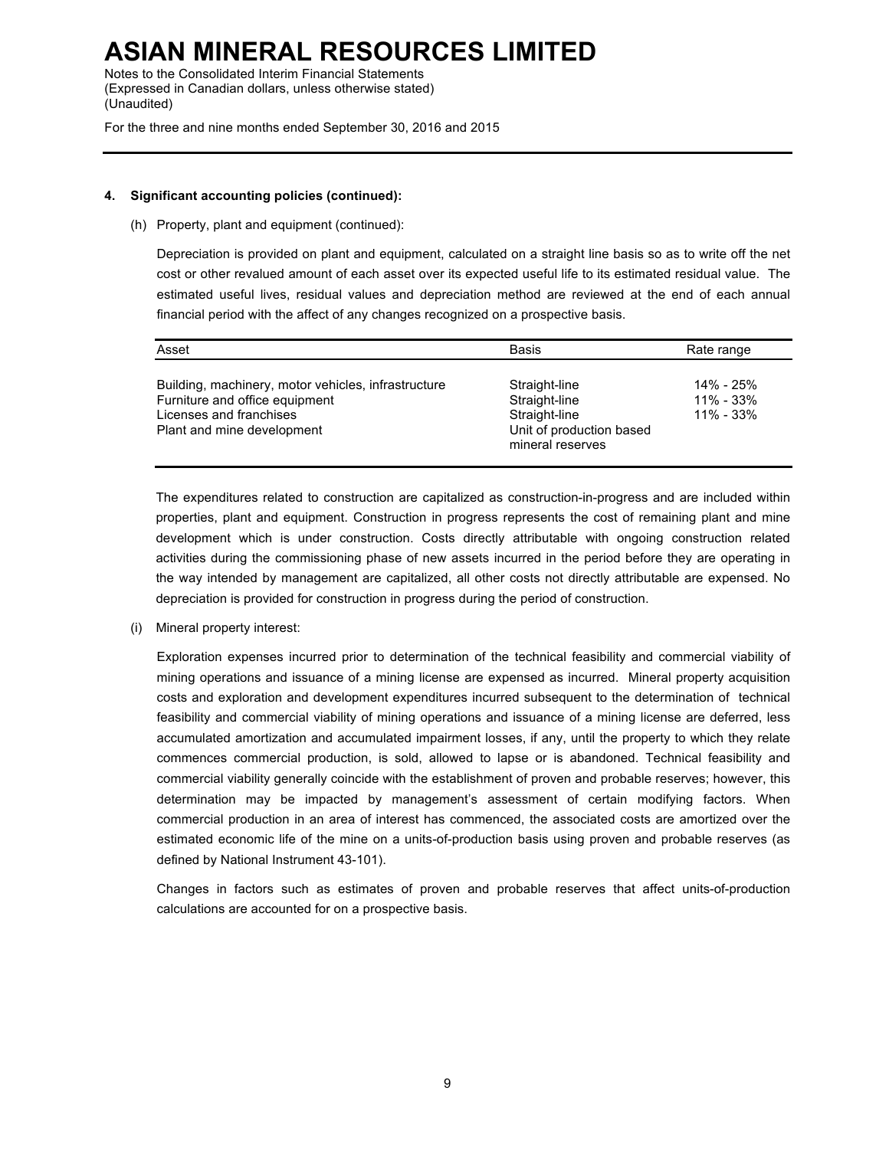Notes to the Consolidated Interim Financial Statements (Expressed in Canadian dollars, unless otherwise stated) (Unaudited)

For the three and nine months ended September 30, 2016 and 2015

### **4. Significant accounting policies (continued):**

(h) Property, plant and equipment (continued):

Depreciation is provided on plant and equipment, calculated on a straight line basis so as to write off the net cost or other revalued amount of each asset over its expected useful life to its estimated residual value. The estimated useful lives, residual values and depreciation method are reviewed at the end of each annual financial period with the affect of any changes recognized on a prospective basis.

| Asset                                                                                                                                          | <b>Basis</b>                                                                                    | Rate range                                  |
|------------------------------------------------------------------------------------------------------------------------------------------------|-------------------------------------------------------------------------------------------------|---------------------------------------------|
| Building, machinery, motor vehicles, infrastructure<br>Furniture and office equipment<br>Licenses and franchises<br>Plant and mine development | Straight-line<br>Straight-line<br>Straight-line<br>Unit of production based<br>mineral reserves | 14% - 25%<br>$11\% - 33\%$<br>$11\% - 33\%$ |

The expenditures related to construction are capitalized as construction-in-progress and are included within properties, plant and equipment. Construction in progress represents the cost of remaining plant and mine development which is under construction. Costs directly attributable with ongoing construction related activities during the commissioning phase of new assets incurred in the period before they are operating in the way intended by management are capitalized, all other costs not directly attributable are expensed. No depreciation is provided for construction in progress during the period of construction.

(i) Mineral property interest:

Exploration expenses incurred prior to determination of the technical feasibility and commercial viability of mining operations and issuance of a mining license are expensed as incurred. Mineral property acquisition costs and exploration and development expenditures incurred subsequent to the determination of technical feasibility and commercial viability of mining operations and issuance of a mining license are deferred, less accumulated amortization and accumulated impairment losses, if any, until the property to which they relate commences commercial production, is sold, allowed to lapse or is abandoned. Technical feasibility and commercial viability generally coincide with the establishment of proven and probable reserves; however, this determination may be impacted by management's assessment of certain modifying factors. When commercial production in an area of interest has commenced, the associated costs are amortized over the estimated economic life of the mine on a units-of-production basis using proven and probable reserves (as defined by National Instrument 43-101).

Changes in factors such as estimates of proven and probable reserves that affect units-of-production calculations are accounted for on a prospective basis.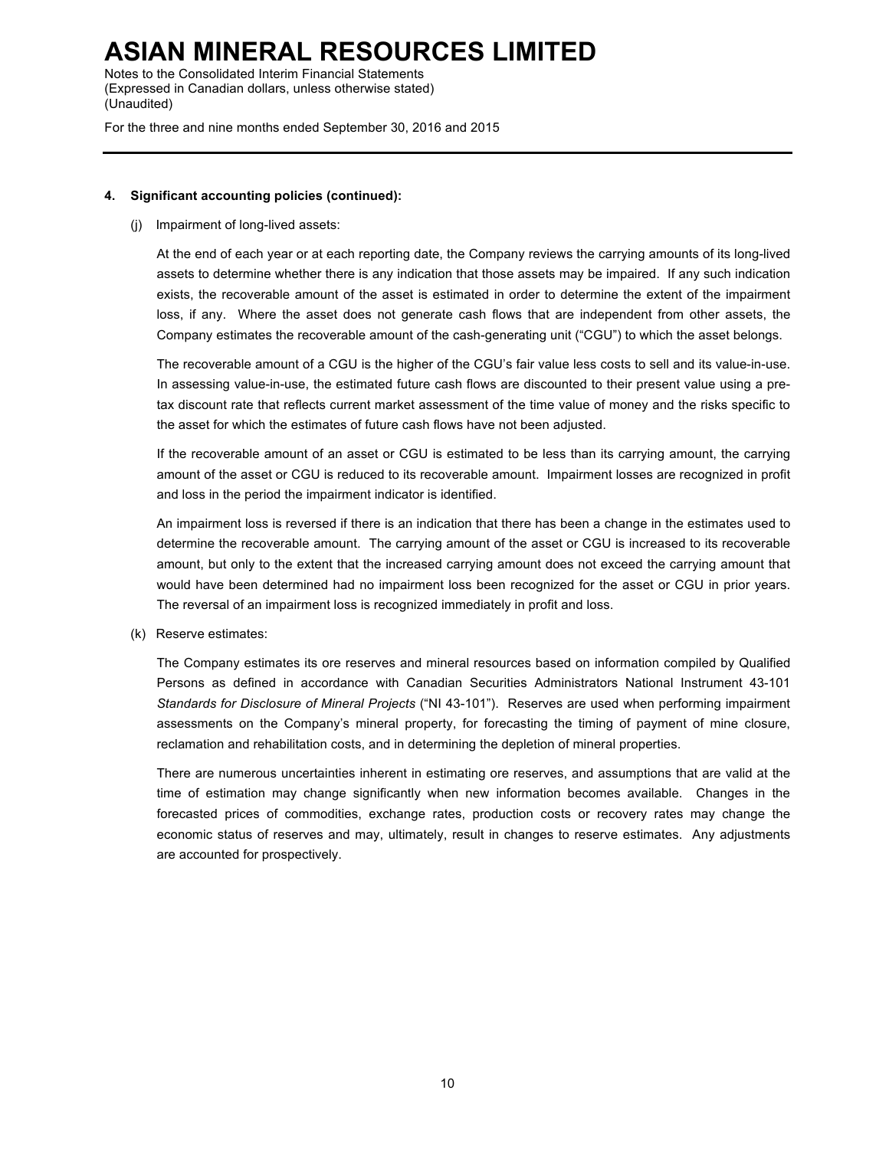Notes to the Consolidated Interim Financial Statements (Expressed in Canadian dollars, unless otherwise stated) (Unaudited)

For the three and nine months ended September 30, 2016 and 2015

## **4. Significant accounting policies (continued):**

## (j) Impairment of long-lived assets:

At the end of each year or at each reporting date, the Company reviews the carrying amounts of its long-lived assets to determine whether there is any indication that those assets may be impaired. If any such indication exists, the recoverable amount of the asset is estimated in order to determine the extent of the impairment loss, if any. Where the asset does not generate cash flows that are independent from other assets, the Company estimates the recoverable amount of the cash-generating unit ("CGU") to which the asset belongs.

The recoverable amount of a CGU is the higher of the CGU's fair value less costs to sell and its value-in-use. In assessing value-in-use, the estimated future cash flows are discounted to their present value using a pretax discount rate that reflects current market assessment of the time value of money and the risks specific to the asset for which the estimates of future cash flows have not been adjusted.

If the recoverable amount of an asset or CGU is estimated to be less than its carrying amount, the carrying amount of the asset or CGU is reduced to its recoverable amount. Impairment losses are recognized in profit and loss in the period the impairment indicator is identified.

An impairment loss is reversed if there is an indication that there has been a change in the estimates used to determine the recoverable amount. The carrying amount of the asset or CGU is increased to its recoverable amount, but only to the extent that the increased carrying amount does not exceed the carrying amount that would have been determined had no impairment loss been recognized for the asset or CGU in prior years. The reversal of an impairment loss is recognized immediately in profit and loss.

(k) Reserve estimates:

The Company estimates its ore reserves and mineral resources based on information compiled by Qualified Persons as defined in accordance with Canadian Securities Administrators National Instrument 43-101 *Standards for Disclosure of Mineral Projects* ("NI 43-101"). Reserves are used when performing impairment assessments on the Company's mineral property, for forecasting the timing of payment of mine closure, reclamation and rehabilitation costs, and in determining the depletion of mineral properties.

There are numerous uncertainties inherent in estimating ore reserves, and assumptions that are valid at the time of estimation may change significantly when new information becomes available. Changes in the forecasted prices of commodities, exchange rates, production costs or recovery rates may change the economic status of reserves and may, ultimately, result in changes to reserve estimates. Any adjustments are accounted for prospectively.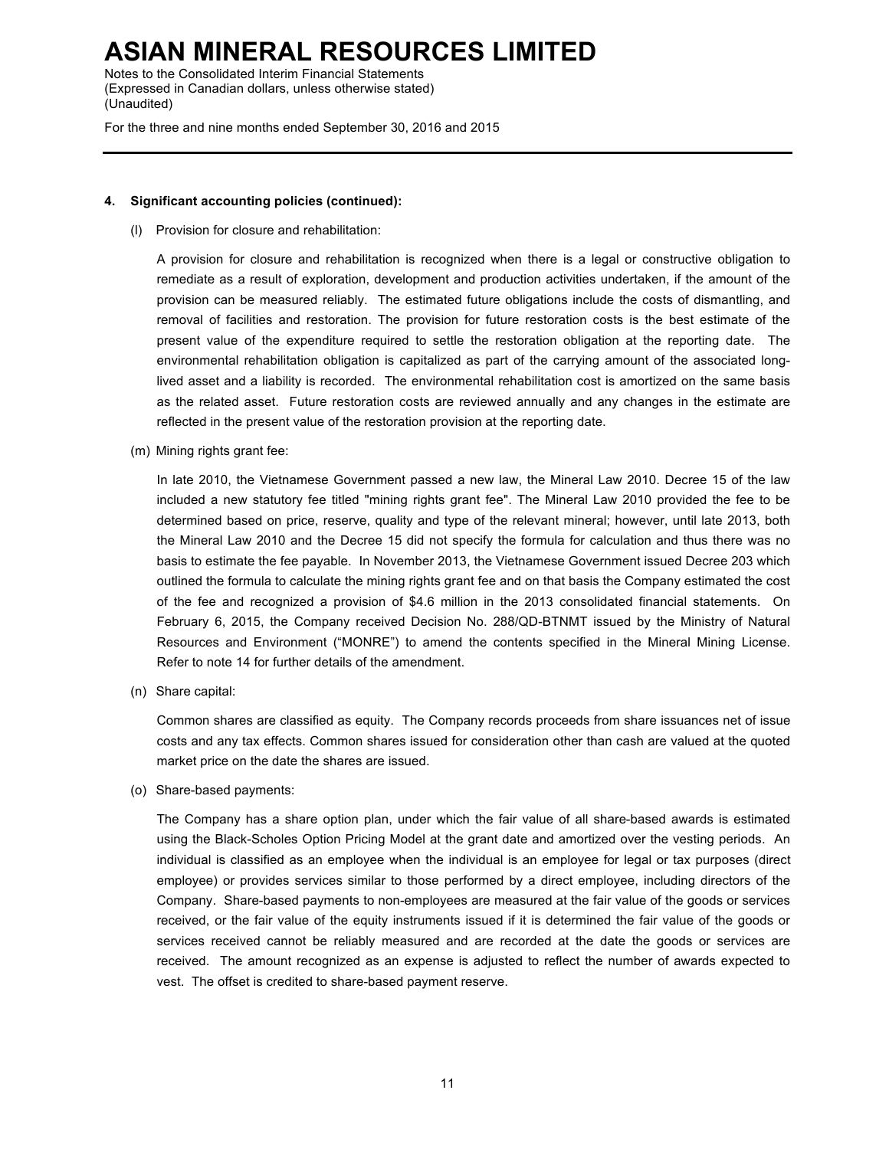Notes to the Consolidated Interim Financial Statements (Expressed in Canadian dollars, unless otherwise stated) (Unaudited)

For the three and nine months ended September 30, 2016 and 2015

### **4. Significant accounting policies (continued):**

(l) Provision for closure and rehabilitation:

A provision for closure and rehabilitation is recognized when there is a legal or constructive obligation to remediate as a result of exploration, development and production activities undertaken, if the amount of the provision can be measured reliably. The estimated future obligations include the costs of dismantling, and removal of facilities and restoration. The provision for future restoration costs is the best estimate of the present value of the expenditure required to settle the restoration obligation at the reporting date. The environmental rehabilitation obligation is capitalized as part of the carrying amount of the associated longlived asset and a liability is recorded. The environmental rehabilitation cost is amortized on the same basis as the related asset. Future restoration costs are reviewed annually and any changes in the estimate are reflected in the present value of the restoration provision at the reporting date.

(m) Mining rights grant fee:

In late 2010, the Vietnamese Government passed a new law, the Mineral Law 2010. Decree 15 of the law included a new statutory fee titled "mining rights grant fee". The Mineral Law 2010 provided the fee to be determined based on price, reserve, quality and type of the relevant mineral; however, until late 2013, both the Mineral Law 2010 and the Decree 15 did not specify the formula for calculation and thus there was no basis to estimate the fee payable. In November 2013, the Vietnamese Government issued Decree 203 which outlined the formula to calculate the mining rights grant fee and on that basis the Company estimated the cost of the fee and recognized a provision of \$4.6 million in the 2013 consolidated financial statements. On February 6, 2015, the Company received Decision No. 288/QD-BTNMT issued by the Ministry of Natural Resources and Environment ("MONRE") to amend the contents specified in the Mineral Mining License. Refer to note 14 for further details of the amendment.

(n) Share capital:

Common shares are classified as equity. The Company records proceeds from share issuances net of issue costs and any tax effects. Common shares issued for consideration other than cash are valued at the quoted market price on the date the shares are issued.

(o) Share-based payments:

The Company has a share option plan, under which the fair value of all share-based awards is estimated using the Black-Scholes Option Pricing Model at the grant date and amortized over the vesting periods. An individual is classified as an employee when the individual is an employee for legal or tax purposes (direct employee) or provides services similar to those performed by a direct employee, including directors of the Company. Share-based payments to non-employees are measured at the fair value of the goods or services received, or the fair value of the equity instruments issued if it is determined the fair value of the goods or services received cannot be reliably measured and are recorded at the date the goods or services are received. The amount recognized as an expense is adjusted to reflect the number of awards expected to vest. The offset is credited to share-based payment reserve.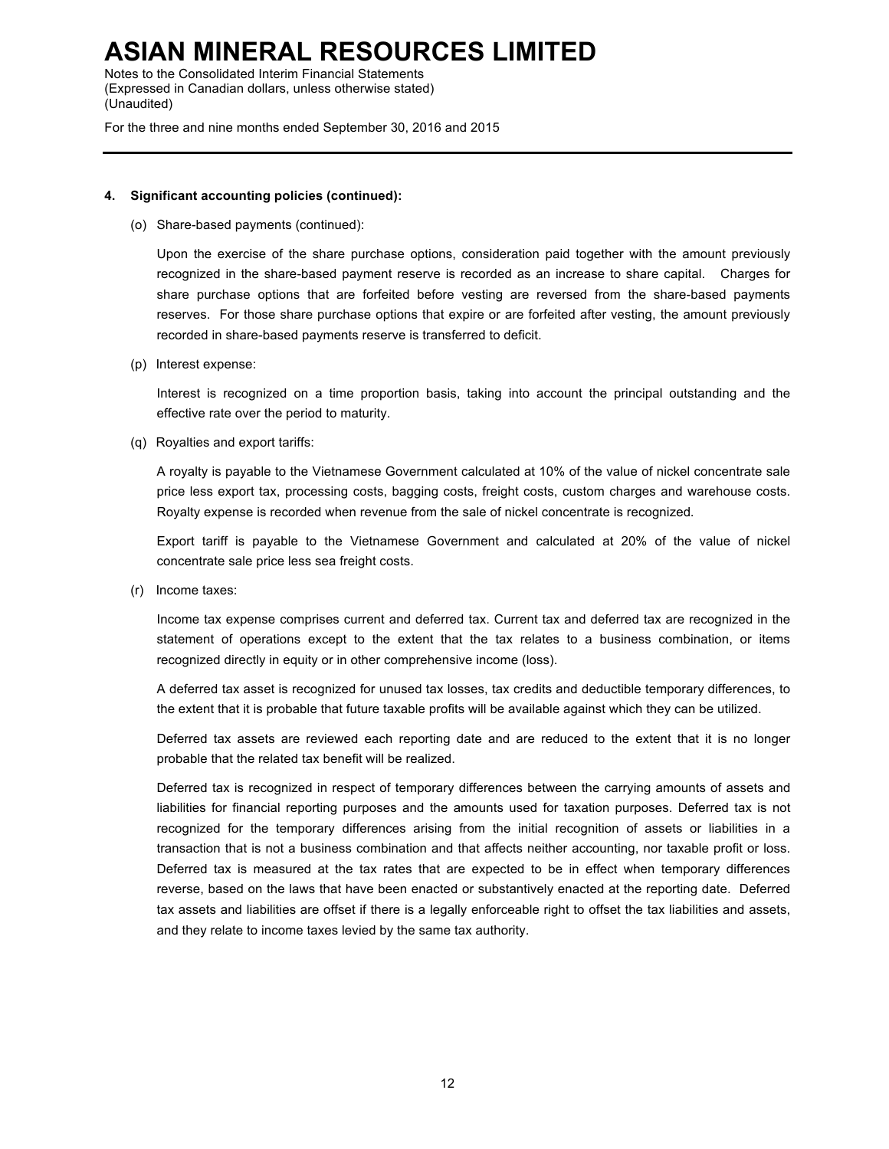Notes to the Consolidated Interim Financial Statements (Expressed in Canadian dollars, unless otherwise stated) (Unaudited)

For the three and nine months ended September 30, 2016 and 2015

### **4. Significant accounting policies (continued):**

(o) Share-based payments (continued):

Upon the exercise of the share purchase options, consideration paid together with the amount previously recognized in the share-based payment reserve is recorded as an increase to share capital. Charges for share purchase options that are forfeited before vesting are reversed from the share-based payments reserves. For those share purchase options that expire or are forfeited after vesting, the amount previously recorded in share-based payments reserve is transferred to deficit.

(p) Interest expense:

Interest is recognized on a time proportion basis, taking into account the principal outstanding and the effective rate over the period to maturity.

(q) Royalties and export tariffs:

A royalty is payable to the Vietnamese Government calculated at 10% of the value of nickel concentrate sale price less export tax, processing costs, bagging costs, freight costs, custom charges and warehouse costs. Royalty expense is recorded when revenue from the sale of nickel concentrate is recognized.

Export tariff is payable to the Vietnamese Government and calculated at 20% of the value of nickel concentrate sale price less sea freight costs.

(r) Income taxes:

Income tax expense comprises current and deferred tax. Current tax and deferred tax are recognized in the statement of operations except to the extent that the tax relates to a business combination, or items recognized directly in equity or in other comprehensive income (loss).

A deferred tax asset is recognized for unused tax losses, tax credits and deductible temporary differences, to the extent that it is probable that future taxable profits will be available against which they can be utilized.

Deferred tax assets are reviewed each reporting date and are reduced to the extent that it is no longer probable that the related tax benefit will be realized.

Deferred tax is recognized in respect of temporary differences between the carrying amounts of assets and liabilities for financial reporting purposes and the amounts used for taxation purposes. Deferred tax is not recognized for the temporary differences arising from the initial recognition of assets or liabilities in a transaction that is not a business combination and that affects neither accounting, nor taxable profit or loss. Deferred tax is measured at the tax rates that are expected to be in effect when temporary differences reverse, based on the laws that have been enacted or substantively enacted at the reporting date. Deferred tax assets and liabilities are offset if there is a legally enforceable right to offset the tax liabilities and assets, and they relate to income taxes levied by the same tax authority.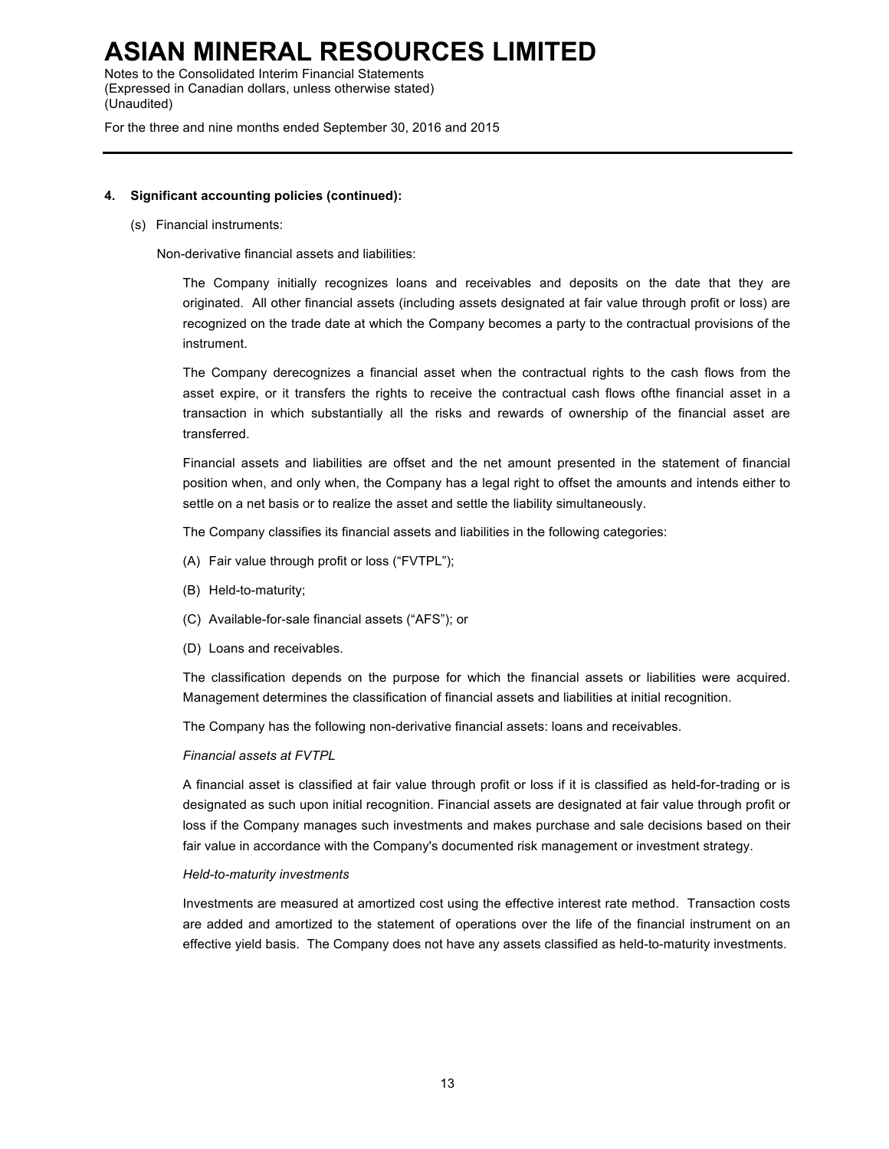Notes to the Consolidated Interim Financial Statements (Expressed in Canadian dollars, unless otherwise stated) (Unaudited)

For the three and nine months ended September 30, 2016 and 2015

### **4. Significant accounting policies (continued):**

(s) Financial instruments:

Non-derivative financial assets and liabilities:

The Company initially recognizes loans and receivables and deposits on the date that they are originated. All other financial assets (including assets designated at fair value through profit or loss) are recognized on the trade date at which the Company becomes a party to the contractual provisions of the instrument.

The Company derecognizes a financial asset when the contractual rights to the cash flows from the asset expire, or it transfers the rights to receive the contractual cash flows ofthe financial asset in a transaction in which substantially all the risks and rewards of ownership of the financial asset are transferred.

Financial assets and liabilities are offset and the net amount presented in the statement of financial position when, and only when, the Company has a legal right to offset the amounts and intends either to settle on a net basis or to realize the asset and settle the liability simultaneously.

The Company classifies its financial assets and liabilities in the following categories:

- (A) Fair value through profit or loss ("FVTPL");
- (B) Held-to-maturity;
- (C) Available-for-sale financial assets ("AFS"); or
- (D) Loans and receivables.

The classification depends on the purpose for which the financial assets or liabilities were acquired. Management determines the classification of financial assets and liabilities at initial recognition.

The Company has the following non-derivative financial assets: loans and receivables.

### *Financial assets at FVTPL*

A financial asset is classified at fair value through profit or loss if it is classified as held-for-trading or is designated as such upon initial recognition. Financial assets are designated at fair value through profit or loss if the Company manages such investments and makes purchase and sale decisions based on their fair value in accordance with the Company's documented risk management or investment strategy.

### *Held-to-maturity investments*

Investments are measured at amortized cost using the effective interest rate method. Transaction costs are added and amortized to the statement of operations over the life of the financial instrument on an effective yield basis. The Company does not have any assets classified as held-to-maturity investments.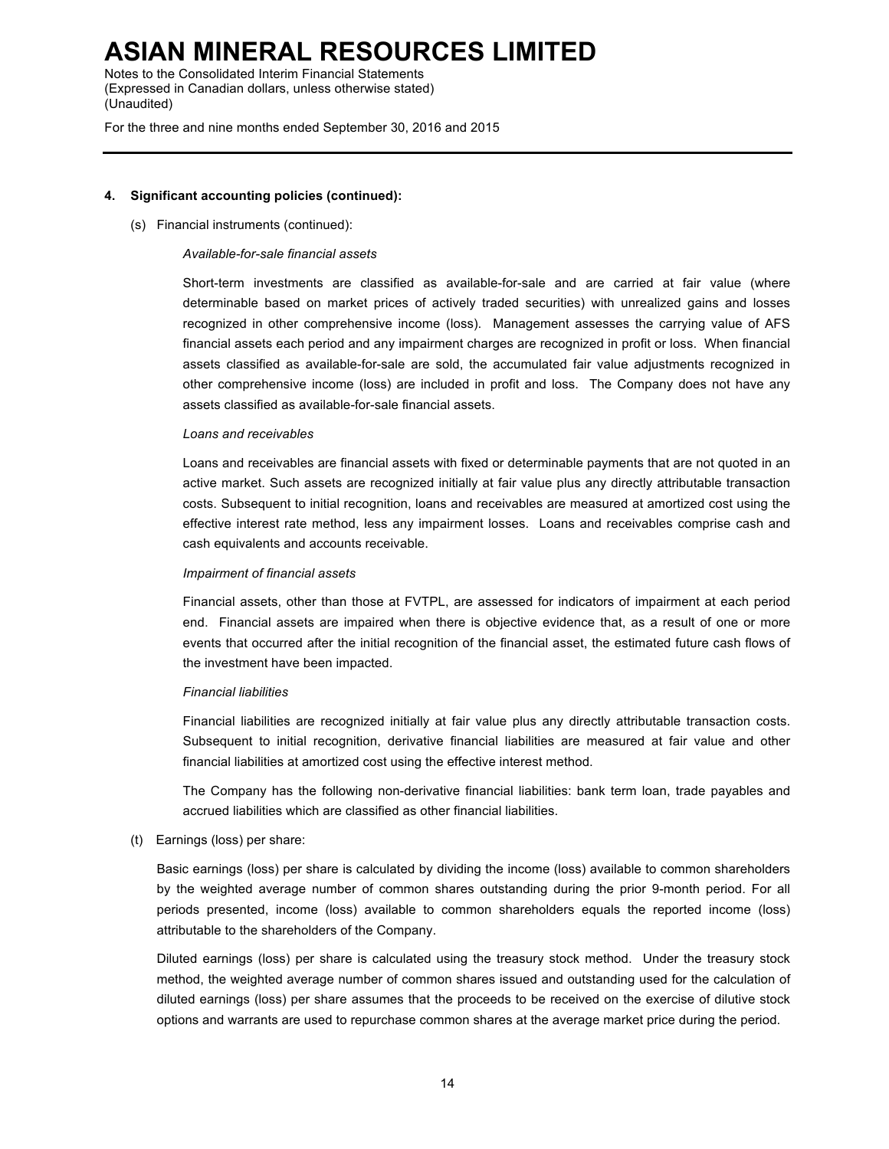Notes to the Consolidated Interim Financial Statements (Expressed in Canadian dollars, unless otherwise stated) (Unaudited)

For the three and nine months ended September 30, 2016 and 2015

### **4. Significant accounting policies (continued):**

(s) Financial instruments (continued):

### *Available-for-sale financial assets*

Short-term investments are classified as available-for-sale and are carried at fair value (where determinable based on market prices of actively traded securities) with unrealized gains and losses recognized in other comprehensive income (loss). Management assesses the carrying value of AFS financial assets each period and any impairment charges are recognized in profit or loss. When financial assets classified as available-for-sale are sold, the accumulated fair value adjustments recognized in other comprehensive income (loss) are included in profit and loss. The Company does not have any assets classified as available-for-sale financial assets.

### *Loans and receivables*

Loans and receivables are financial assets with fixed or determinable payments that are not quoted in an active market. Such assets are recognized initially at fair value plus any directly attributable transaction costs. Subsequent to initial recognition, loans and receivables are measured at amortized cost using the effective interest rate method, less any impairment losses. Loans and receivables comprise cash and cash equivalents and accounts receivable.

### *Impairment of financial assets*

Financial assets, other than those at FVTPL, are assessed for indicators of impairment at each period end. Financial assets are impaired when there is objective evidence that, as a result of one or more events that occurred after the initial recognition of the financial asset, the estimated future cash flows of the investment have been impacted.

### *Financial liabilities*

Financial liabilities are recognized initially at fair value plus any directly attributable transaction costs. Subsequent to initial recognition, derivative financial liabilities are measured at fair value and other financial liabilities at amortized cost using the effective interest method.

The Company has the following non-derivative financial liabilities: bank term loan, trade payables and accrued liabilities which are classified as other financial liabilities.

(t) Earnings (loss) per share:

Basic earnings (loss) per share is calculated by dividing the income (loss) available to common shareholders by the weighted average number of common shares outstanding during the prior 9-month period. For all periods presented, income (loss) available to common shareholders equals the reported income (loss) attributable to the shareholders of the Company.

Diluted earnings (loss) per share is calculated using the treasury stock method. Under the treasury stock method, the weighted average number of common shares issued and outstanding used for the calculation of diluted earnings (loss) per share assumes that the proceeds to be received on the exercise of dilutive stock options and warrants are used to repurchase common shares at the average market price during the period.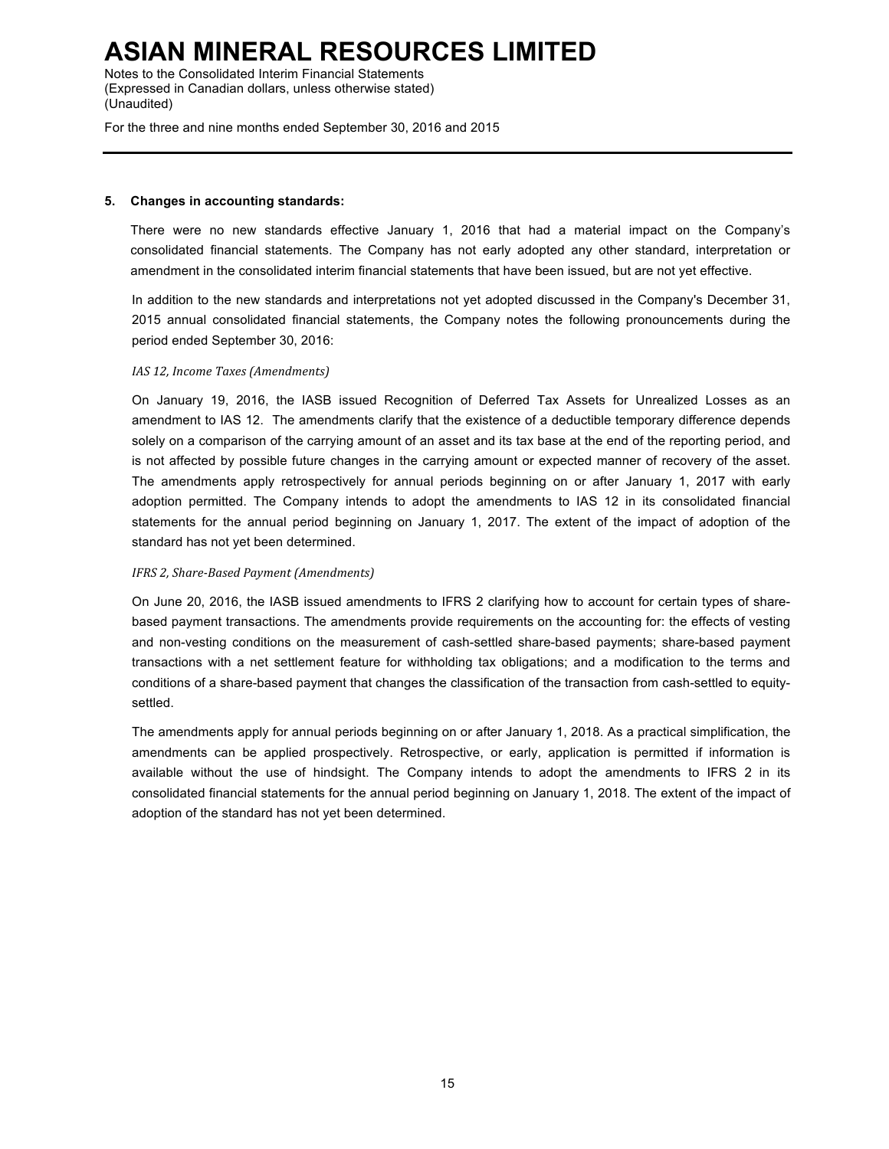Notes to the Consolidated Interim Financial Statements (Expressed in Canadian dollars, unless otherwise stated) (Unaudited)

For the three and nine months ended September 30, 2016 and 2015

### **5. Changes in accounting standards:**

There were no new standards effective January 1, 2016 that had a material impact on the Company's consolidated financial statements. The Company has not early adopted any other standard, interpretation or amendment in the consolidated interim financial statements that have been issued, but are not yet effective.

In addition to the new standards and interpretations not yet adopted discussed in the Company's December 31, 2015 annual consolidated financial statements, the Company notes the following pronouncements during the period ended September 30, 2016:

## *IAS 12, Income Taxes (Amendments)*

On January 19, 2016, the IASB issued Recognition of Deferred Tax Assets for Unrealized Losses as an amendment to IAS 12. The amendments clarify that the existence of a deductible temporary difference depends solely on a comparison of the carrying amount of an asset and its tax base at the end of the reporting period, and is not affected by possible future changes in the carrying amount or expected manner of recovery of the asset. The amendments apply retrospectively for annual periods beginning on or after January 1, 2017 with early adoption permitted. The Company intends to adopt the amendments to IAS 12 in its consolidated financial statements for the annual period beginning on January 1, 2017. The extent of the impact of adoption of the standard has not yet been determined.

## *IFRS 2, Share-Based Payment (Amendments)*

On June 20, 2016, the IASB issued amendments to IFRS 2 clarifying how to account for certain types of sharebased payment transactions. The amendments provide requirements on the accounting for: the effects of vesting and non-vesting conditions on the measurement of cash-settled share-based payments; share-based payment transactions with a net settlement feature for withholding tax obligations; and a modification to the terms and conditions of a share-based payment that changes the classification of the transaction from cash-settled to equitysettled.

The amendments apply for annual periods beginning on or after January 1, 2018. As a practical simplification, the amendments can be applied prospectively. Retrospective, or early, application is permitted if information is available without the use of hindsight. The Company intends to adopt the amendments to IFRS 2 in its consolidated financial statements for the annual period beginning on January 1, 2018. The extent of the impact of adoption of the standard has not yet been determined.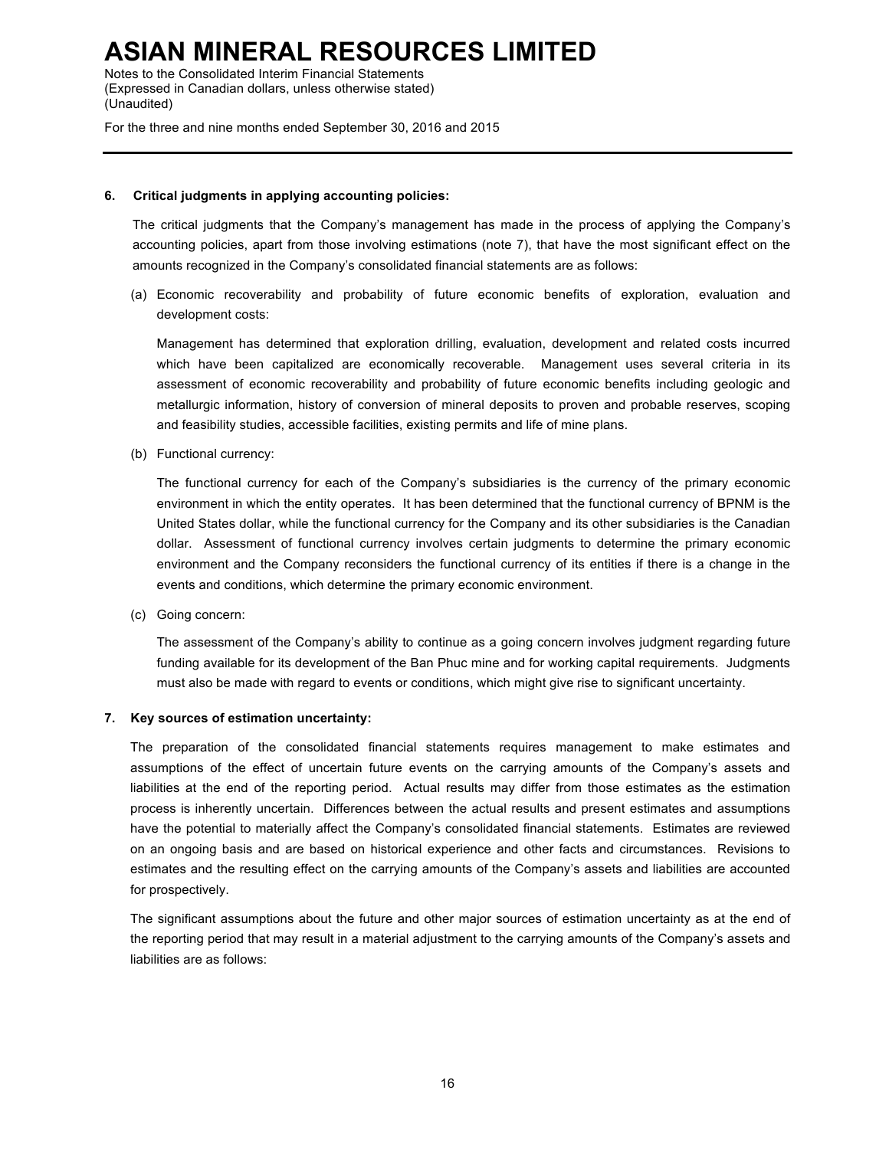Notes to the Consolidated Interim Financial Statements (Expressed in Canadian dollars, unless otherwise stated) (Unaudited)

For the three and nine months ended September 30, 2016 and 2015

### **6. Critical judgments in applying accounting policies:**

The critical judgments that the Company's management has made in the process of applying the Company's accounting policies, apart from those involving estimations (note 7), that have the most significant effect on the amounts recognized in the Company's consolidated financial statements are as follows:

(a) Economic recoverability and probability of future economic benefits of exploration, evaluation and development costs:

Management has determined that exploration drilling, evaluation, development and related costs incurred which have been capitalized are economically recoverable. Management uses several criteria in its assessment of economic recoverability and probability of future economic benefits including geologic and metallurgic information, history of conversion of mineral deposits to proven and probable reserves, scoping and feasibility studies, accessible facilities, existing permits and life of mine plans.

(b) Functional currency:

The functional currency for each of the Company's subsidiaries is the currency of the primary economic environment in which the entity operates. It has been determined that the functional currency of BPNM is the United States dollar, while the functional currency for the Company and its other subsidiaries is the Canadian dollar. Assessment of functional currency involves certain judgments to determine the primary economic environment and the Company reconsiders the functional currency of its entities if there is a change in the events and conditions, which determine the primary economic environment.

(c) Going concern:

The assessment of the Company's ability to continue as a going concern involves judgment regarding future funding available for its development of the Ban Phuc mine and for working capital requirements. Judgments must also be made with regard to events or conditions, which might give rise to significant uncertainty.

### **7. Key sources of estimation uncertainty:**

The preparation of the consolidated financial statements requires management to make estimates and assumptions of the effect of uncertain future events on the carrying amounts of the Company's assets and liabilities at the end of the reporting period. Actual results may differ from those estimates as the estimation process is inherently uncertain. Differences between the actual results and present estimates and assumptions have the potential to materially affect the Company's consolidated financial statements. Estimates are reviewed on an ongoing basis and are based on historical experience and other facts and circumstances. Revisions to estimates and the resulting effect on the carrying amounts of the Company's assets and liabilities are accounted for prospectively.

The significant assumptions about the future and other major sources of estimation uncertainty as at the end of the reporting period that may result in a material adjustment to the carrying amounts of the Company's assets and liabilities are as follows: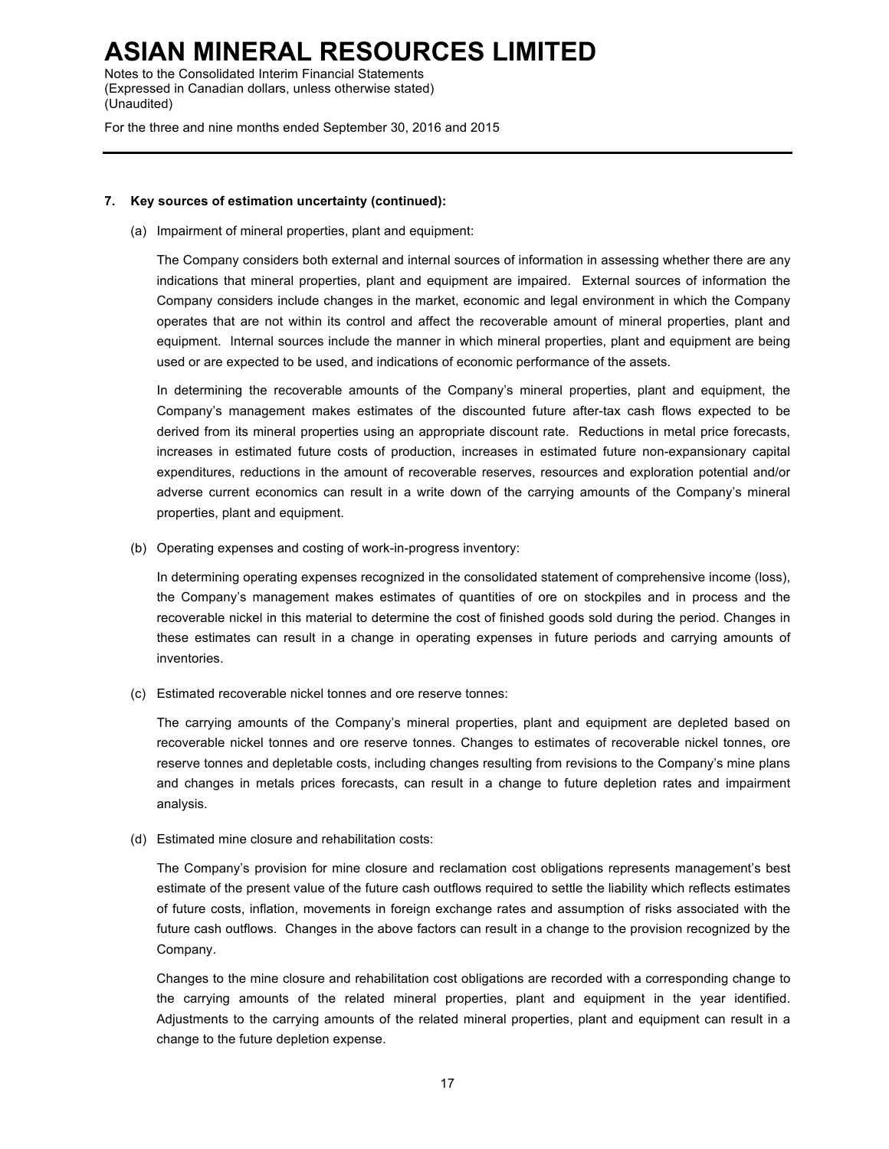Notes to the Consolidated Interim Financial Statements (Expressed in Canadian dollars, unless otherwise stated) (Unaudited)

For the three and nine months ended September 30, 2016 and 2015

#### **7. Key sources of estimation uncertainty (continued):**

(a) Impairment of mineral properties, plant and equipment:

The Company considers both external and internal sources of information in assessing whether there are any indications that mineral properties, plant and equipment are impaired. External sources of information the Company considers include changes in the market, economic and legal environment in which the Company operates that are not within its control and affect the recoverable amount of mineral properties, plant and equipment. Internal sources include the manner in which mineral properties, plant and equipment are being used or are expected to be used, and indications of economic performance of the assets.

In determining the recoverable amounts of the Company's mineral properties, plant and equipment, the Company's management makes estimates of the discounted future after-tax cash flows expected to be derived from its mineral properties using an appropriate discount rate. Reductions in metal price forecasts, increases in estimated future costs of production, increases in estimated future non-expansionary capital expenditures, reductions in the amount of recoverable reserves, resources and exploration potential and/or adverse current economics can result in a write down of the carrying amounts of the Company's mineral properties, plant and equipment.

(b) Operating expenses and costing of work-in-progress inventory:

In determining operating expenses recognized in the consolidated statement of comprehensive income (loss), the Company's management makes estimates of quantities of ore on stockpiles and in process and the recoverable nickel in this material to determine the cost of finished goods sold during the period. Changes in these estimates can result in a change in operating expenses in future periods and carrying amounts of inventories.

(c) Estimated recoverable nickel tonnes and ore reserve tonnes:

The carrying amounts of the Company's mineral properties, plant and equipment are depleted based on recoverable nickel tonnes and ore reserve tonnes. Changes to estimates of recoverable nickel tonnes, ore reserve tonnes and depletable costs, including changes resulting from revisions to the Company's mine plans and changes in metals prices forecasts, can result in a change to future depletion rates and impairment analysis.

(d) Estimated mine closure and rehabilitation costs:

The Company's provision for mine closure and reclamation cost obligations represents management's best estimate of the present value of the future cash outflows required to settle the liability which reflects estimates of future costs, inflation, movements in foreign exchange rates and assumption of risks associated with the future cash outflows. Changes in the above factors can result in a change to the provision recognized by the Company.

Changes to the mine closure and rehabilitation cost obligations are recorded with a corresponding change to the carrying amounts of the related mineral properties, plant and equipment in the year identified. Adjustments to the carrying amounts of the related mineral properties, plant and equipment can result in a change to the future depletion expense.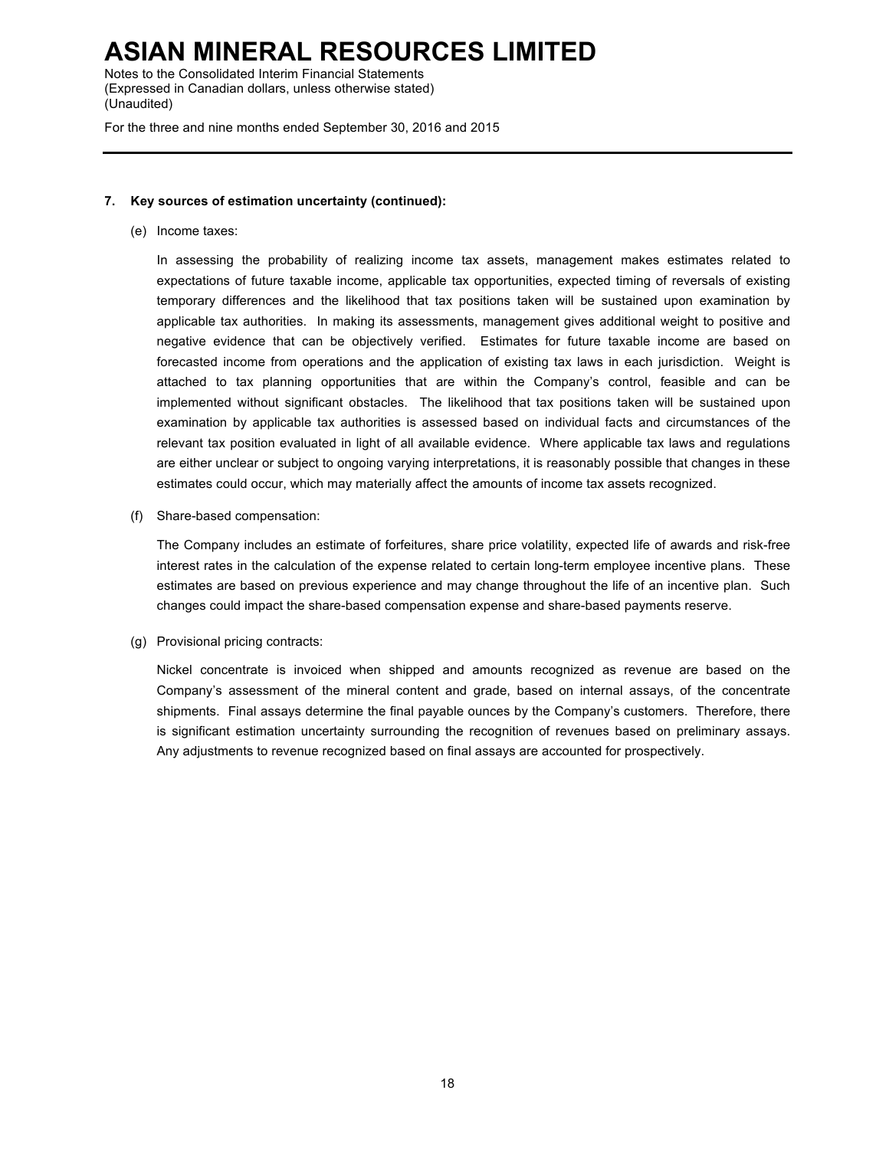Notes to the Consolidated Interim Financial Statements (Expressed in Canadian dollars, unless otherwise stated) (Unaudited)

For the three and nine months ended September 30, 2016 and 2015

## **7. Key sources of estimation uncertainty (continued):**

(e) Income taxes:

In assessing the probability of realizing income tax assets, management makes estimates related to expectations of future taxable income, applicable tax opportunities, expected timing of reversals of existing temporary differences and the likelihood that tax positions taken will be sustained upon examination by applicable tax authorities. In making its assessments, management gives additional weight to positive and negative evidence that can be objectively verified. Estimates for future taxable income are based on forecasted income from operations and the application of existing tax laws in each jurisdiction. Weight is attached to tax planning opportunities that are within the Company's control, feasible and can be implemented without significant obstacles. The likelihood that tax positions taken will be sustained upon examination by applicable tax authorities is assessed based on individual facts and circumstances of the relevant tax position evaluated in light of all available evidence. Where applicable tax laws and regulations are either unclear or subject to ongoing varying interpretations, it is reasonably possible that changes in these estimates could occur, which may materially affect the amounts of income tax assets recognized.

(f) Share-based compensation:

The Company includes an estimate of forfeitures, share price volatility, expected life of awards and risk-free interest rates in the calculation of the expense related to certain long-term employee incentive plans. These estimates are based on previous experience and may change throughout the life of an incentive plan. Such changes could impact the share-based compensation expense and share-based payments reserve.

(g) Provisional pricing contracts:

Nickel concentrate is invoiced when shipped and amounts recognized as revenue are based on the Company's assessment of the mineral content and grade, based on internal assays, of the concentrate shipments. Final assays determine the final payable ounces by the Company's customers. Therefore, there is significant estimation uncertainty surrounding the recognition of revenues based on preliminary assays. Any adjustments to revenue recognized based on final assays are accounted for prospectively.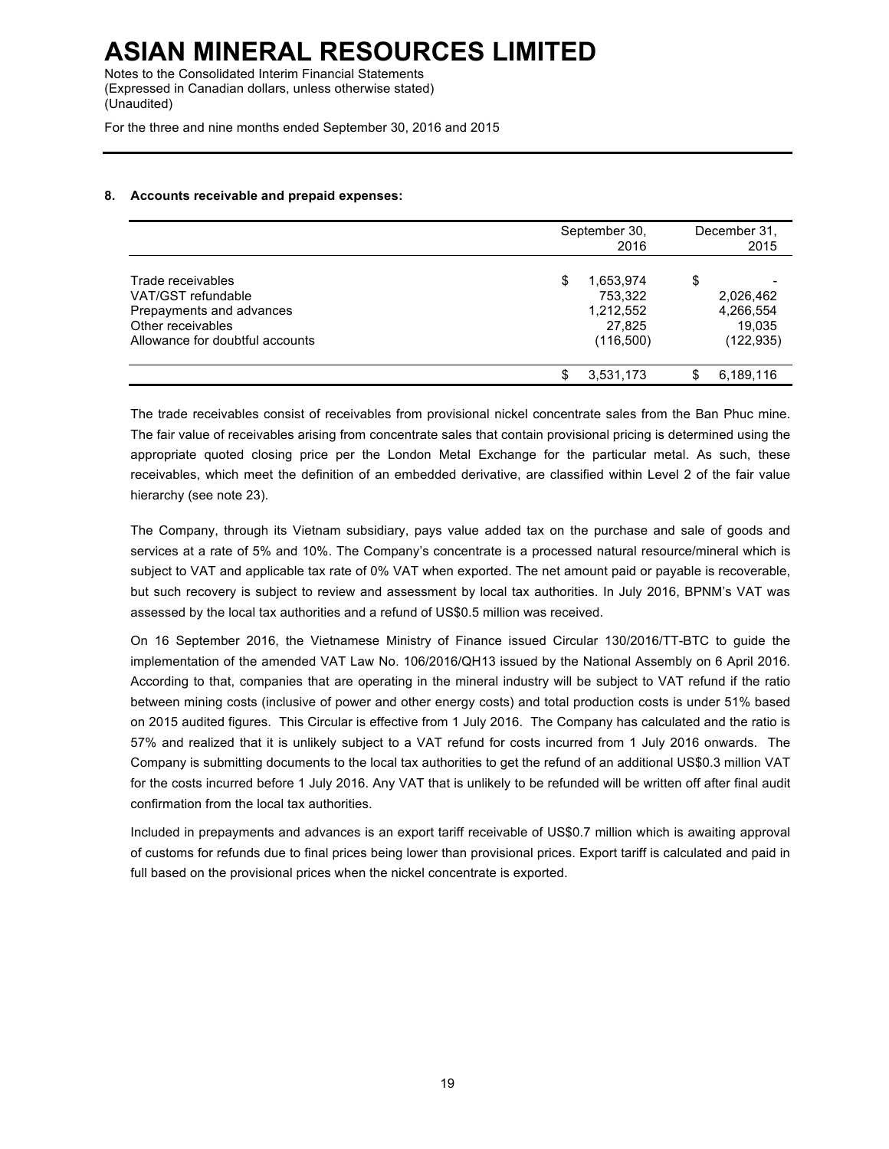Notes to the Consolidated Interim Financial Statements (Expressed in Canadian dollars, unless otherwise stated) (Unaudited)

For the three and nine months ended September 30, 2016 and 2015

## **8. Accounts receivable and prepaid expenses:**

|                                                                                                                             |   | September 30,<br>2016                                     | December 31.<br>2015                                 |
|-----------------------------------------------------------------------------------------------------------------------------|---|-----------------------------------------------------------|------------------------------------------------------|
| Trade receivables<br>VAT/GST refundable<br>Prepayments and advances<br>Other receivables<br>Allowance for doubtful accounts | S | 1,653,974<br>753.322<br>1,212,552<br>27,825<br>(116, 500) | \$<br>2,026,462<br>4,266,554<br>19.035<br>(122, 935) |
|                                                                                                                             | S | 3,531,173                                                 | 6,189,116                                            |

The trade receivables consist of receivables from provisional nickel concentrate sales from the Ban Phuc mine. The fair value of receivables arising from concentrate sales that contain provisional pricing is determined using the appropriate quoted closing price per the London Metal Exchange for the particular metal. As such, these receivables, which meet the definition of an embedded derivative, are classified within Level 2 of the fair value hierarchy (see note 23).

The Company, through its Vietnam subsidiary, pays value added tax on the purchase and sale of goods and services at a rate of 5% and 10%. The Company's concentrate is a processed natural resource/mineral which is subject to VAT and applicable tax rate of 0% VAT when exported. The net amount paid or payable is recoverable, but such recovery is subject to review and assessment by local tax authorities. In July 2016, BPNM's VAT was assessed by the local tax authorities and a refund of US\$0.5 million was received.

On 16 September 2016, the Vietnamese Ministry of Finance issued Circular 130/2016/TT-BTC to guide the implementation of the amended VAT Law No. 106/2016/QH13 issued by the National Assembly on 6 April 2016. According to that, companies that are operating in the mineral industry will be subject to VAT refund if the ratio between mining costs (inclusive of power and other energy costs) and total production costs is under 51% based on 2015 audited figures. This Circular is effective from 1 July 2016. The Company has calculated and the ratio is 57% and realized that it is unlikely subject to a VAT refund for costs incurred from 1 July 2016 onwards. The Company is submitting documents to the local tax authorities to get the refund of an additional US\$0.3 million VAT for the costs incurred before 1 July 2016. Any VAT that is unlikely to be refunded will be written off after final audit confirmation from the local tax authorities.

Included in prepayments and advances is an export tariff receivable of US\$0.7 million which is awaiting approval of customs for refunds due to final prices being lower than provisional prices. Export tariff is calculated and paid in full based on the provisional prices when the nickel concentrate is exported.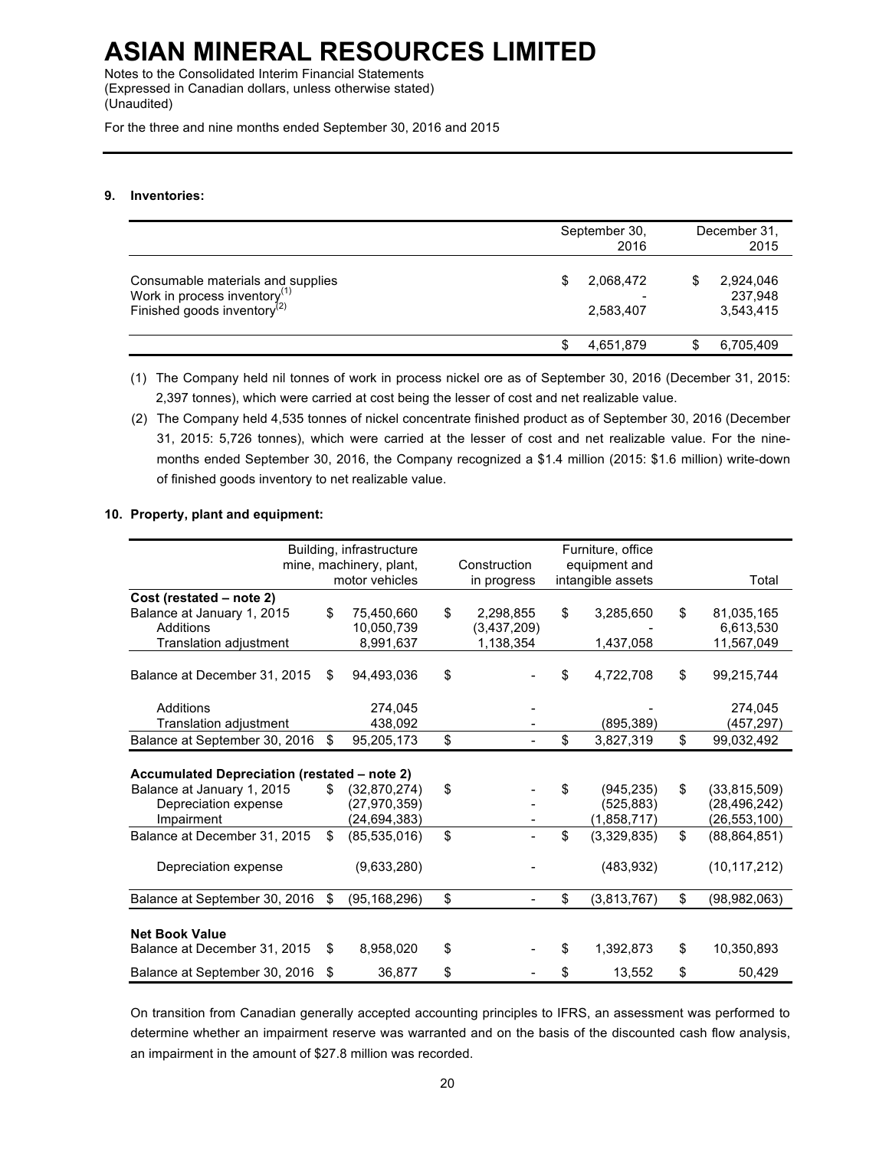Notes to the Consolidated Interim Financial Statements (Expressed in Canadian dollars, unless otherwise stated) (Unaudited)

For the three and nine months ended September 30, 2016 and 2015

## **9. Inventories:**

|                                                                                                        | September 30,<br>2016  |   | December 31.<br>2015              |
|--------------------------------------------------------------------------------------------------------|------------------------|---|-----------------------------------|
| Consumable materials and supplies<br>Work in process inventory $(1)$<br>Finished goods inventory $(2)$ | 2,068,472<br>2,583,407 | S | 2,924,046<br>237,948<br>3,543,415 |
|                                                                                                        | 4,651,879              |   | 6,705,409                         |

(1) The Company held nil tonnes of work in process nickel ore as of September 30, 2016 (December 31, 2015: 2,397 tonnes), which were carried at cost being the lesser of cost and net realizable value.

(2) The Company held 4,535 tonnes of nickel concentrate finished product as of September 30, 2016 (December 31, 2015: 5,726 tonnes), which were carried at the lesser of cost and net realizable value. For the ninemonths ended September 30, 2016, the Company recognized a \$1.4 million (2015: \$1.6 million) write-down of finished goods inventory to net realizable value.

## **10. Property, plant and equipment:**

|                                              |     | Building, infrastructure |                 | Furniture, office |                      |
|----------------------------------------------|-----|--------------------------|-----------------|-------------------|----------------------|
|                                              |     | mine, machinery, plant,  | Construction    | equipment and     |                      |
|                                              |     | motor vehicles           | in progress     | intangible assets | Total                |
| Cost (restated – note 2)                     |     |                          |                 |                   |                      |
| Balance at January 1, 2015                   | \$  | 75,450,660               | \$<br>2,298,855 | \$<br>3,285,650   | \$<br>81,035,165     |
| Additions                                    |     | 10,050,739               | (3,437,209)     |                   | 6,613,530            |
| Translation adjustment                       |     | 8,991,637                | 1,138,354       | 1,437,058         | 11,567,049           |
|                                              |     |                          |                 |                   |                      |
| Balance at December 31, 2015                 | \$  | 94,493,036               | \$              | \$<br>4,722,708   | \$<br>99,215,744     |
|                                              |     |                          |                 |                   |                      |
| Additions                                    |     | 274,045                  |                 |                   | 274,045              |
| Translation adjustment                       |     | 438,092                  |                 | (895, 389)        | (457,297)            |
| Balance at September 30, 2016                | \$  | 95,205,173               | \$              | \$<br>3,827,319   | \$<br>99,032,492     |
|                                              |     |                          |                 |                   |                      |
| Accumulated Depreciation (restated – note 2) |     |                          |                 |                   |                      |
| Balance at January 1, 2015                   | \$. | (32,870,274)             | \$              | \$<br>(945, 235)  | \$<br>(33,815,509)   |
| Depreciation expense                         |     | (27, 970, 359)           |                 | (525, 883)        | (28, 496, 242)       |
| Impairment                                   |     | (24, 694, 383)           |                 | (1,858,717)       | (26, 553, 100)       |
| Balance at December 31, 2015                 | \$  | (85, 535, 016)           | \$              | \$<br>(3,329,835) | \$<br>(88, 864, 851) |
|                                              |     |                          |                 |                   |                      |
| Depreciation expense                         |     | (9,633,280)              |                 | (483, 932)        | (10, 117, 212)       |
|                                              |     |                          |                 |                   |                      |
| Balance at September 30, 2016                | \$  | (95, 168, 296)           | \$              | \$<br>(3,813,767) | \$<br>(98,982,063)   |
|                                              |     |                          |                 |                   |                      |
| <b>Net Book Value</b>                        |     |                          |                 |                   |                      |
| Balance at December 31, 2015                 | \$  | 8,958,020                | \$              | \$<br>1,392,873   | \$<br>10,350,893     |
| Balance at September 30, 2016                | \$  | 36,877                   | \$              | \$<br>13,552      | \$<br>50,429         |

On transition from Canadian generally accepted accounting principles to IFRS, an assessment was performed to determine whether an impairment reserve was warranted and on the basis of the discounted cash flow analysis, an impairment in the amount of \$27.8 million was recorded.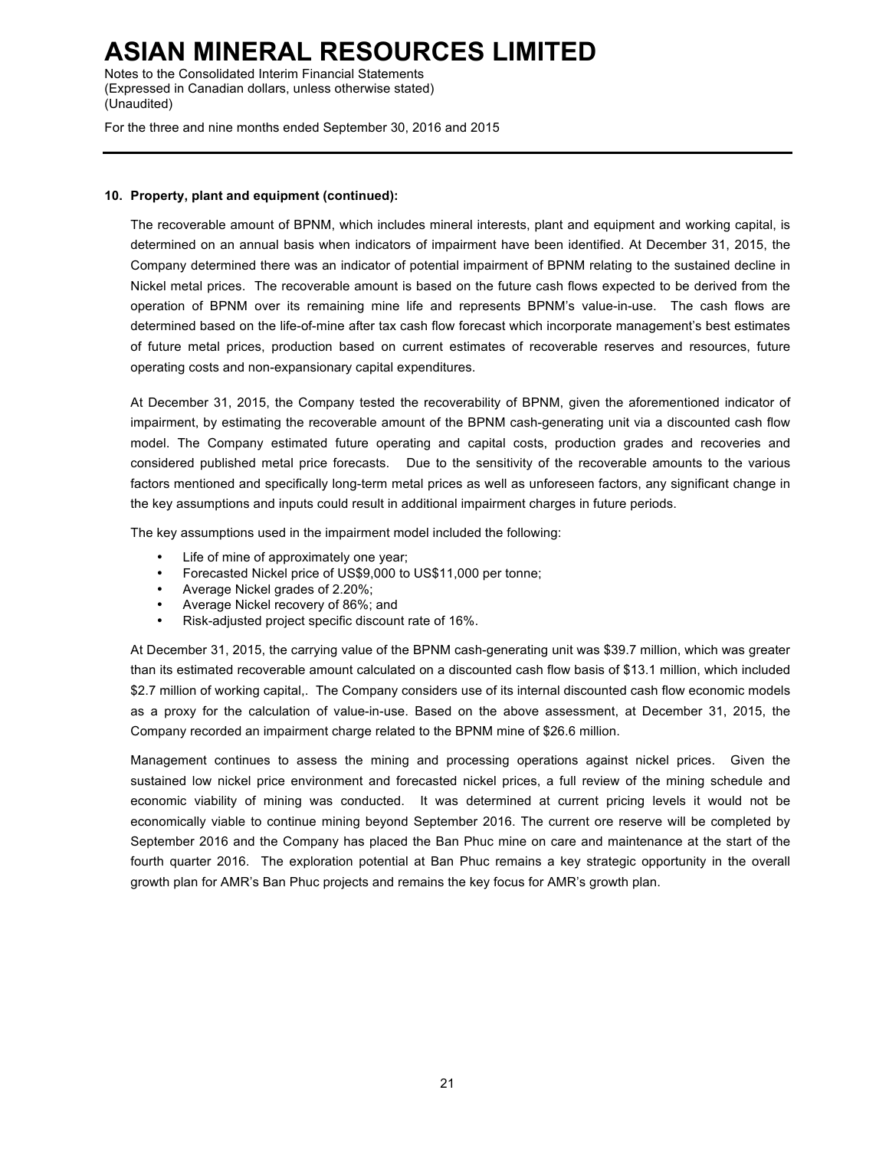Notes to the Consolidated Interim Financial Statements (Expressed in Canadian dollars, unless otherwise stated) (Unaudited)

For the three and nine months ended September 30, 2016 and 2015

## **10. Property, plant and equipment (continued):**

The recoverable amount of BPNM, which includes mineral interests, plant and equipment and working capital, is determined on an annual basis when indicators of impairment have been identified. At December 31, 2015, the Company determined there was an indicator of potential impairment of BPNM relating to the sustained decline in Nickel metal prices. The recoverable amount is based on the future cash flows expected to be derived from the operation of BPNM over its remaining mine life and represents BPNM's value-in-use. The cash flows are determined based on the life-of-mine after tax cash flow forecast which incorporate management's best estimates of future metal prices, production based on current estimates of recoverable reserves and resources, future operating costs and non-expansionary capital expenditures.

At December 31, 2015, the Company tested the recoverability of BPNM, given the aforementioned indicator of impairment, by estimating the recoverable amount of the BPNM cash-generating unit via a discounted cash flow model. The Company estimated future operating and capital costs, production grades and recoveries and considered published metal price forecasts. Due to the sensitivity of the recoverable amounts to the various factors mentioned and specifically long-term metal prices as well as unforeseen factors, any significant change in the key assumptions and inputs could result in additional impairment charges in future periods.

The key assumptions used in the impairment model included the following:

- Life of mine of approximately one year;
- Forecasted Nickel price of US\$9,000 to US\$11,000 per tonne;
- Average Nickel grades of 2.20%;
- Average Nickel recovery of 86%; and
- Risk-adjusted project specific discount rate of 16%.

At December 31, 2015, the carrying value of the BPNM cash-generating unit was \$39.7 million, which was greater than its estimated recoverable amount calculated on a discounted cash flow basis of \$13.1 million, which included \$2.7 million of working capital,. The Company considers use of its internal discounted cash flow economic models as a proxy for the calculation of value-in-use. Based on the above assessment, at December 31, 2015, the Company recorded an impairment charge related to the BPNM mine of \$26.6 million.

Management continues to assess the mining and processing operations against nickel prices. Given the sustained low nickel price environment and forecasted nickel prices, a full review of the mining schedule and economic viability of mining was conducted. It was determined at current pricing levels it would not be economically viable to continue mining beyond September 2016. The current ore reserve will be completed by September 2016 and the Company has placed the Ban Phuc mine on care and maintenance at the start of the fourth quarter 2016. The exploration potential at Ban Phuc remains a key strategic opportunity in the overall growth plan for AMR's Ban Phuc projects and remains the key focus for AMR's growth plan.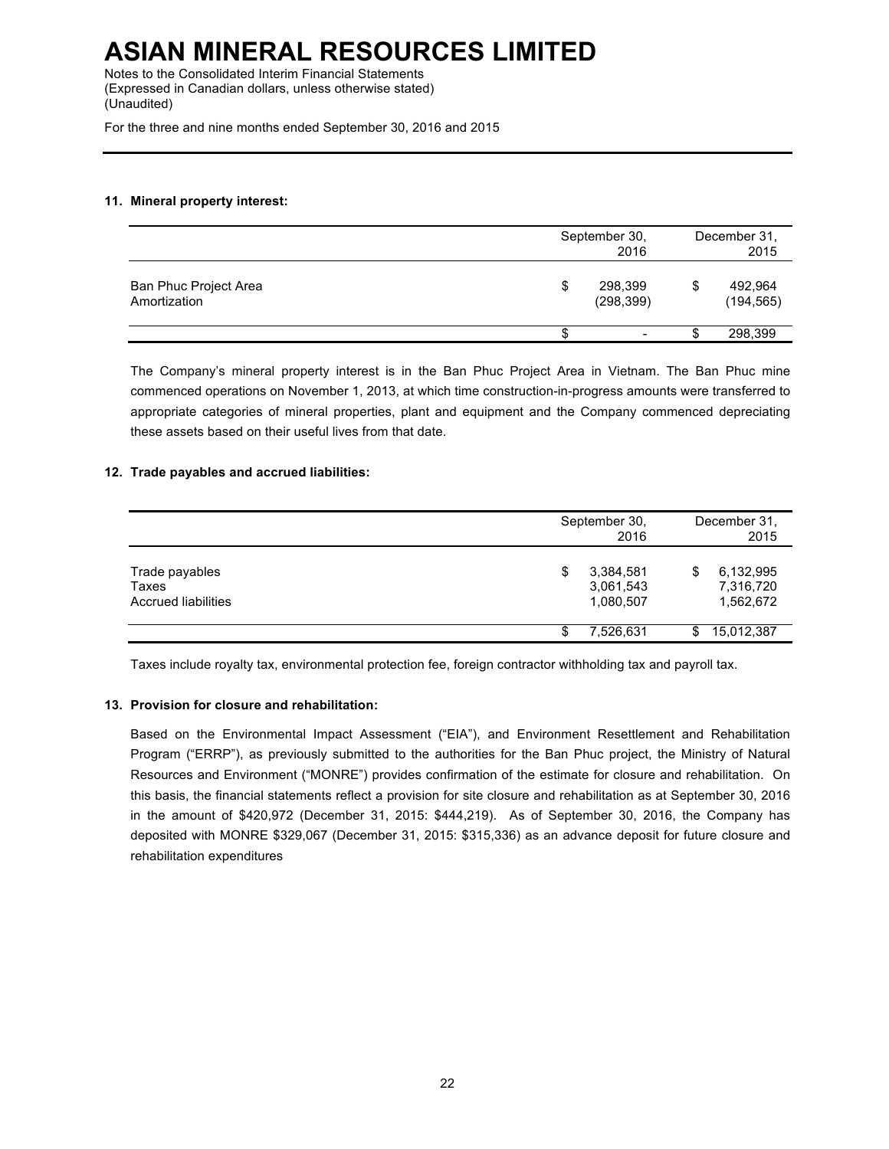Notes to the Consolidated Interim Financial Statements (Expressed in Canadian dollars, unless otherwise stated) (Unaudited)

For the three and nine months ended September 30, 2016 and 2015

## **11. Mineral property interest:**

|                                       | September 30,<br>2016       |     | December 31.<br>2015  |  |
|---------------------------------------|-----------------------------|-----|-----------------------|--|
| Ban Phuc Project Area<br>Amortization | \$<br>298,399<br>(298, 399) | \$  | 492,964<br>(194, 565) |  |
|                                       |                             | ۰D. | 298,399               |  |

The Company's mineral property interest is in the Ban Phuc Project Area in Vietnam. The Ban Phuc mine commenced operations on November 1, 2013, at which time construction-in-progress amounts were transferred to appropriate categories of mineral properties, plant and equipment and the Company commenced depreciating these assets based on their useful lives from that date.

## **12. Trade payables and accrued liabilities:**

|                                                |   | September 30,<br>2016               |     | December 31,<br>2015                |
|------------------------------------------------|---|-------------------------------------|-----|-------------------------------------|
| Trade payables<br>Taxes<br>Accrued liabilities | S | 3,384,581<br>3,061,543<br>1,080,507 | S   | 6,132,995<br>7,316,720<br>1,562,672 |
|                                                |   | 7,526,631                           | \$. | 15,012,387                          |

Taxes include royalty tax, environmental protection fee, foreign contractor withholding tax and payroll tax.

## **13. Provision for closure and rehabilitation:**

Based on the Environmental Impact Assessment ("EIA"), and Environment Resettlement and Rehabilitation Program ("ERRP"), as previously submitted to the authorities for the Ban Phuc project, the Ministry of Natural Resources and Environment ("MONRE") provides confirmation of the estimate for closure and rehabilitation. On this basis, the financial statements reflect a provision for site closure and rehabilitation as at September 30, 2016 in the amount of \$420,972 (December 31, 2015: \$444,219). As of September 30, 2016, the Company has deposited with MONRE \$329,067 (December 31, 2015: \$315,336) as an advance deposit for future closure and rehabilitation expenditures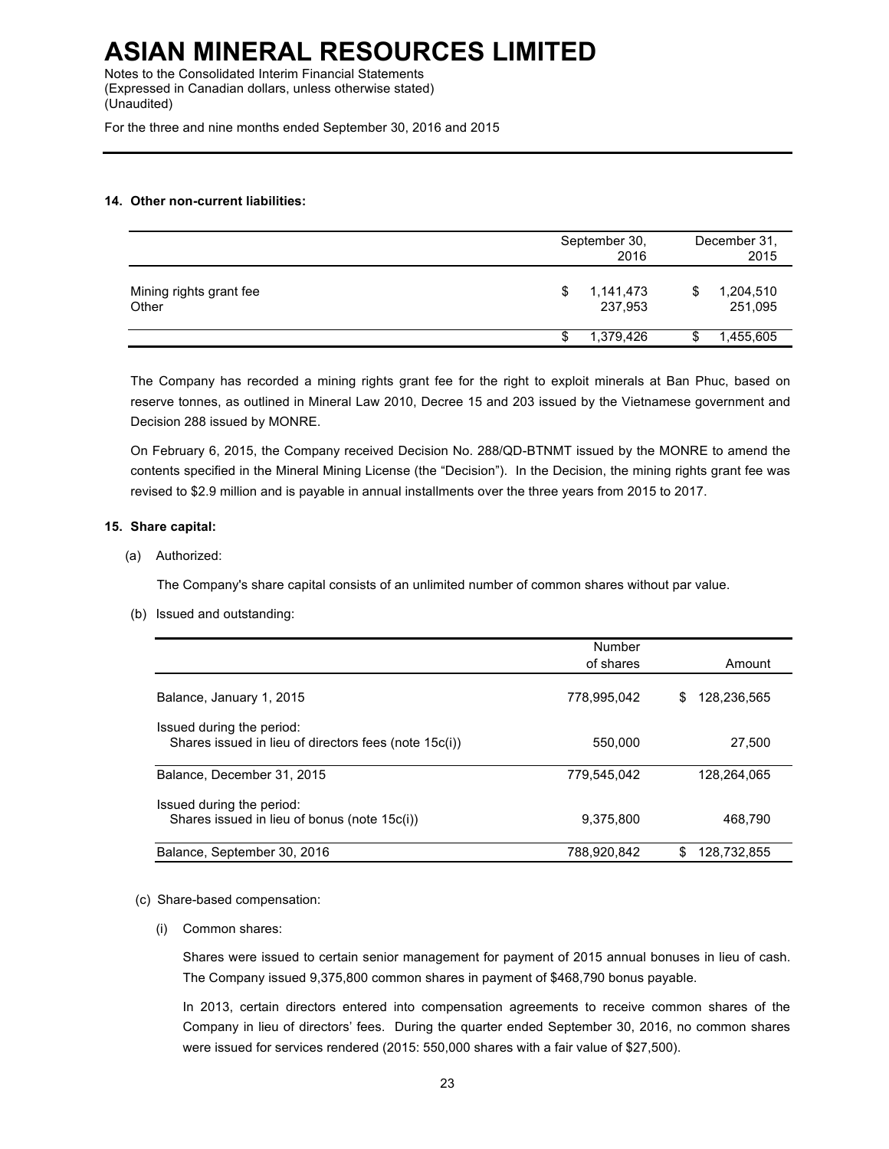Notes to the Consolidated Interim Financial Statements (Expressed in Canadian dollars, unless otherwise stated) (Unaudited)

For the three and nine months ended September 30, 2016 and 2015

## **14. Other non-current liabilities:**

|                                  | September 30,<br>2016     | December 31,<br>2015      |
|----------------------------------|---------------------------|---------------------------|
| Mining rights grant fee<br>Other | 1,141,473<br>S<br>237,953 | 1,204,510<br>S<br>251,095 |
|                                  | 1,379,426                 | 1,455,605<br>S            |

The Company has recorded a mining rights grant fee for the right to exploit minerals at Ban Phuc, based on reserve tonnes, as outlined in Mineral Law 2010, Decree 15 and 203 issued by the Vietnamese government and Decision 288 issued by MONRE.

On February 6, 2015, the Company received Decision No. 288/QD-BTNMT issued by the MONRE to amend the contents specified in the Mineral Mining License (the "Decision"). In the Decision, the mining rights grant fee was revised to \$2.9 million and is payable in annual installments over the three years from 2015 to 2017.

## **15. Share capital:**

(a) Authorized:

The Company's share capital consists of an unlimited number of common shares without par value.

(b) Issued and outstanding:

|                                                                                    | Number      |                  |
|------------------------------------------------------------------------------------|-------------|------------------|
|                                                                                    | of shares   | Amount           |
| Balance, January 1, 2015                                                           | 778,995,042 | 128,236,565<br>S |
| Issued during the period:<br>Shares issued in lieu of directors fees (note 15c(i)) | 550.000     | 27,500           |
| Balance, December 31, 2015                                                         | 779.545.042 | 128.264.065      |
| Issued during the period:<br>Shares issued in lieu of bonus (note 15c(i))          | 9,375,800   | 468.790          |
| Balance, September 30, 2016                                                        | 788.920.842 | 128.732.855<br>S |

### (c) Share-based compensation:

(i) Common shares:

Shares were issued to certain senior management for payment of 2015 annual bonuses in lieu of cash. The Company issued 9,375,800 common shares in payment of \$468,790 bonus payable.

In 2013, certain directors entered into compensation agreements to receive common shares of the Company in lieu of directors' fees. During the quarter ended September 30, 2016, no common shares were issued for services rendered (2015: 550,000 shares with a fair value of \$27,500).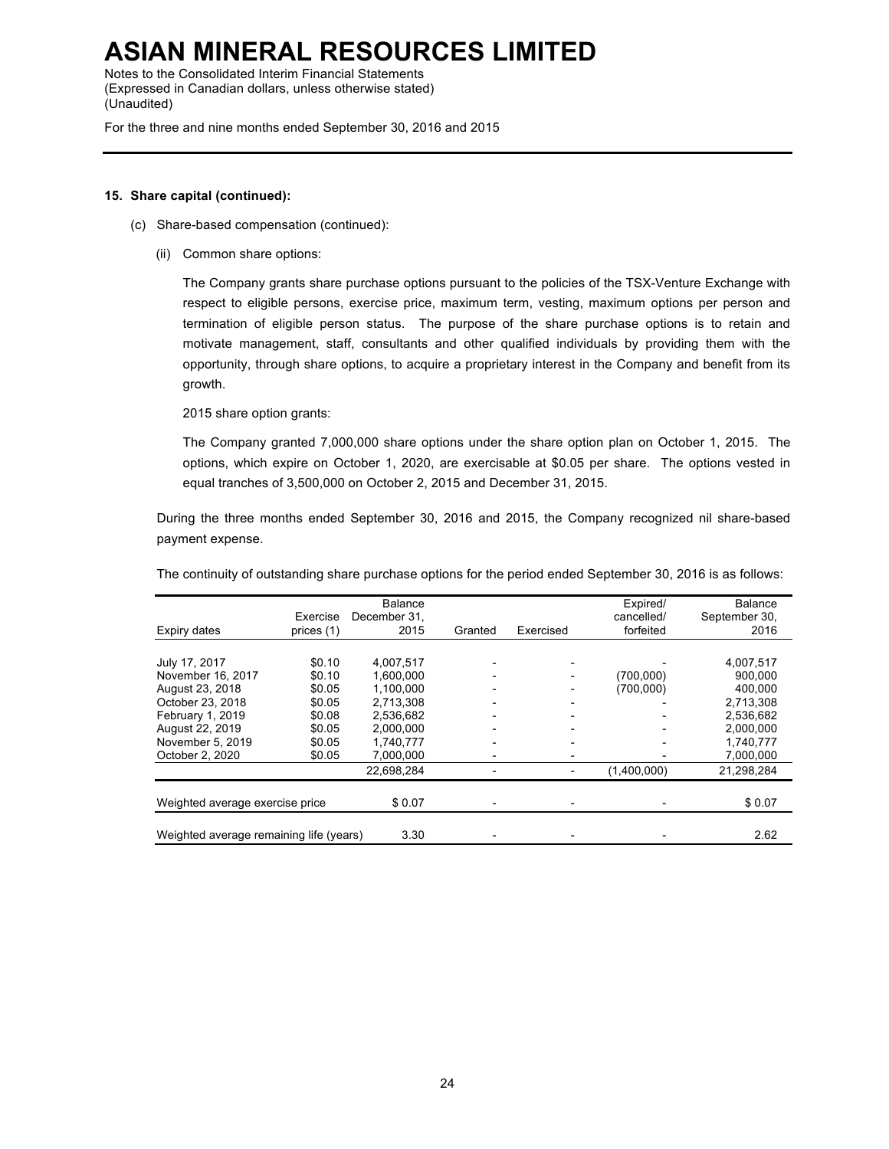Notes to the Consolidated Interim Financial Statements (Expressed in Canadian dollars, unless otherwise stated) (Unaudited)

For the three and nine months ended September 30, 2016 and 2015

## **15. Share capital (continued):**

- (c) Share-based compensation (continued):
	- (ii) Common share options:

The Company grants share purchase options pursuant to the policies of the TSX-Venture Exchange with respect to eligible persons, exercise price, maximum term, vesting, maximum options per person and termination of eligible person status. The purpose of the share purchase options is to retain and motivate management, staff, consultants and other qualified individuals by providing them with the opportunity, through share options, to acquire a proprietary interest in the Company and benefit from its growth.

2015 share option grants:

The Company granted 7,000,000 share options under the share option plan on October 1, 2015. The options, which expire on October 1, 2020, are exercisable at \$0.05 per share. The options vested in equal tranches of 3,500,000 on October 2, 2015 and December 31, 2015.

During the three months ended September 30, 2016 and 2015, the Company recognized nil share-based payment expense.

The continuity of outstanding share purchase options for the period ended September 30, 2016 is as follows:

| Expiry dates                            | Exercise<br>prices (1) | <b>Balance</b><br>December 31.<br>2015 | Granted | Exercised | Expired/<br>cancelled/<br>forfeited | Balance<br>September 30,<br>2016 |
|-----------------------------------------|------------------------|----------------------------------------|---------|-----------|-------------------------------------|----------------------------------|
|                                         |                        |                                        |         |           |                                     |                                  |
| July 17, 2017                           | \$0.10                 | 4.007.517                              |         |           |                                     | 4.007.517                        |
| November 16, 2017                       | \$0.10                 | 1,600,000                              |         |           | (700,000)                           | 900,000                          |
| August 23, 2018                         | \$0.05                 | 1.100.000                              |         |           | (700.000)                           | 400.000                          |
| October 23, 2018                        | \$0.05                 | 2.713.308                              |         |           |                                     | 2,713,308                        |
| February 1, 2019                        | \$0.08                 | 2,536,682                              |         |           |                                     | 2,536,682                        |
| August 22, 2019                         | \$0.05                 | 2,000,000                              |         |           |                                     | 2,000,000                        |
| November 5, 2019                        | \$0.05                 | 1,740,777                              |         |           |                                     | 1,740,777                        |
| October 2, 2020                         | \$0.05                 | 7.000.000                              |         |           |                                     | 7,000,000                        |
|                                         |                        | 22,698,284                             |         |           | (1,400,000)                         | 21.298.284                       |
|                                         |                        |                                        |         |           |                                     |                                  |
| Weighted average exercise price         |                        | \$0.07                                 |         |           |                                     | \$0.07                           |
|                                         |                        |                                        |         |           |                                     |                                  |
| Weighted average remaining life (years) |                        | 3.30                                   |         |           |                                     | 2.62                             |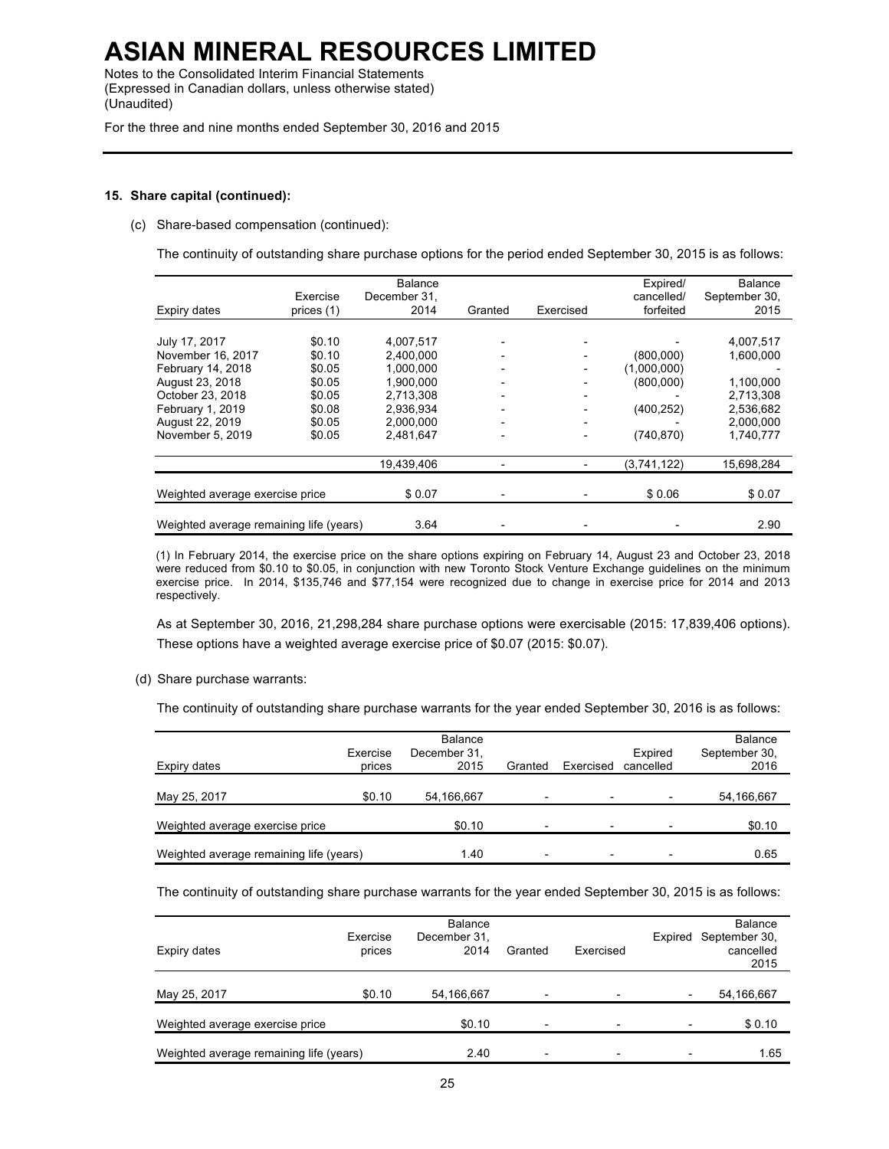Notes to the Consolidated Interim Financial Statements (Expressed in Canadian dollars, unless otherwise stated) (Unaudited)

For the three and nine months ended September 30, 2016 and 2015

### **15. Share capital (continued):**

(c) Share-based compensation (continued):

The continuity of outstanding share purchase options for the period ended September 30, 2015 is as follows:

| Expiry dates                            | Exercise<br>prices (1) | <b>Balance</b><br>December 31.<br>2014 | Granted | Exercised      | Expired/<br>cancelled/<br>forfeited | <b>Balance</b><br>September 30,<br>2015 |
|-----------------------------------------|------------------------|----------------------------------------|---------|----------------|-------------------------------------|-----------------------------------------|
|                                         |                        |                                        |         |                |                                     |                                         |
| July 17, 2017                           | \$0.10                 | 4,007,517                              |         |                |                                     | 4,007,517                               |
| November 16, 2017                       | \$0.10                 | 2,400,000                              |         |                | (800,000)                           | 1,600,000                               |
| February 14, 2018                       | \$0.05                 | 1,000,000                              |         |                | (1,000,000)                         |                                         |
| August 23, 2018                         | \$0.05                 | 1.900.000                              |         |                | (800,000)                           | 1,100,000                               |
| October 23, 2018                        | \$0.05                 | 2,713,308                              |         |                |                                     | 2,713,308                               |
| February 1, 2019                        | \$0.08                 | 2,936,934                              |         |                | (400, 252)                          | 2,536,682                               |
| August 22, 2019                         | \$0.05                 | 2,000,000                              |         | $\overline{a}$ |                                     | 2,000,000                               |
| November 5, 2019                        | \$0.05                 | 2,481,647                              |         | $\overline{a}$ | (740, 870)                          | 1,740,777                               |
|                                         |                        | 19.439.406                             |         |                | (3,741,122)                         | 15,698,284                              |
|                                         |                        |                                        |         |                |                                     |                                         |
| Weighted average exercise price         |                        | \$0.07                                 |         |                | \$0.06                              | \$0.07                                  |
| Weighted average remaining life (years) |                        | 3.64                                   |         |                |                                     | 2.90                                    |

(1) In February 2014, the exercise price on the share options expiring on February 14, August 23 and October 23, 2018 were reduced from \$0.10 to \$0.05, in conjunction with new Toronto Stock Venture Exchange guidelines on the minimum exercise price. In 2014, \$135,746 and \$77,154 were recognized due to change in exercise price for 2014 and 2013 respectively.

As at September 30, 2016, 21,298,284 share purchase options were exercisable (2015: 17,839,406 options). These options have a weighted average exercise price of \$0.07 (2015: \$0.07).

(d) Share purchase warrants:

The continuity of outstanding share purchase warrants for the year ended September 30, 2016 is as follows:

| Expiry dates                            | Exercise<br>prices | <b>Balance</b><br>December 31,<br>2015 | Granted                  | Exercised                | Expired<br>cancelled | <b>Balance</b><br>September 30,<br>2016 |
|-----------------------------------------|--------------------|----------------------------------------|--------------------------|--------------------------|----------------------|-----------------------------------------|
| May 25, 2017                            | \$0.10             | 54,166,667                             | $\overline{\phantom{0}}$ |                          |                      | 54,166,667                              |
| Weighted average exercise price         |                    | \$0.10                                 |                          |                          |                      | \$0.10                                  |
| Weighted average remaining life (years) |                    | 1.40                                   |                          | $\overline{\phantom{0}}$ | ۰                    | 0.65                                    |

The continuity of outstanding share purchase warrants for the year ended September 30, 2015 is as follows:

| Expiry dates                            | Exercise<br>prices | <b>Balance</b><br>December 31,<br>2014 | Granted | Exercised                | <b>Balance</b><br>Expired September 30,<br>cancelled<br>2015 |
|-----------------------------------------|--------------------|----------------------------------------|---------|--------------------------|--------------------------------------------------------------|
| May 25, 2017                            | \$0.10             | 54,166,667                             |         | $\overline{\phantom{a}}$ | 54,166,667                                                   |
| Weighted average exercise price         |                    | \$0.10                                 |         | $\overline{\phantom{a}}$ | \$0.10                                                       |
| Weighted average remaining life (years) |                    | 2.40                                   |         | $\overline{\phantom{a}}$ | 1.65                                                         |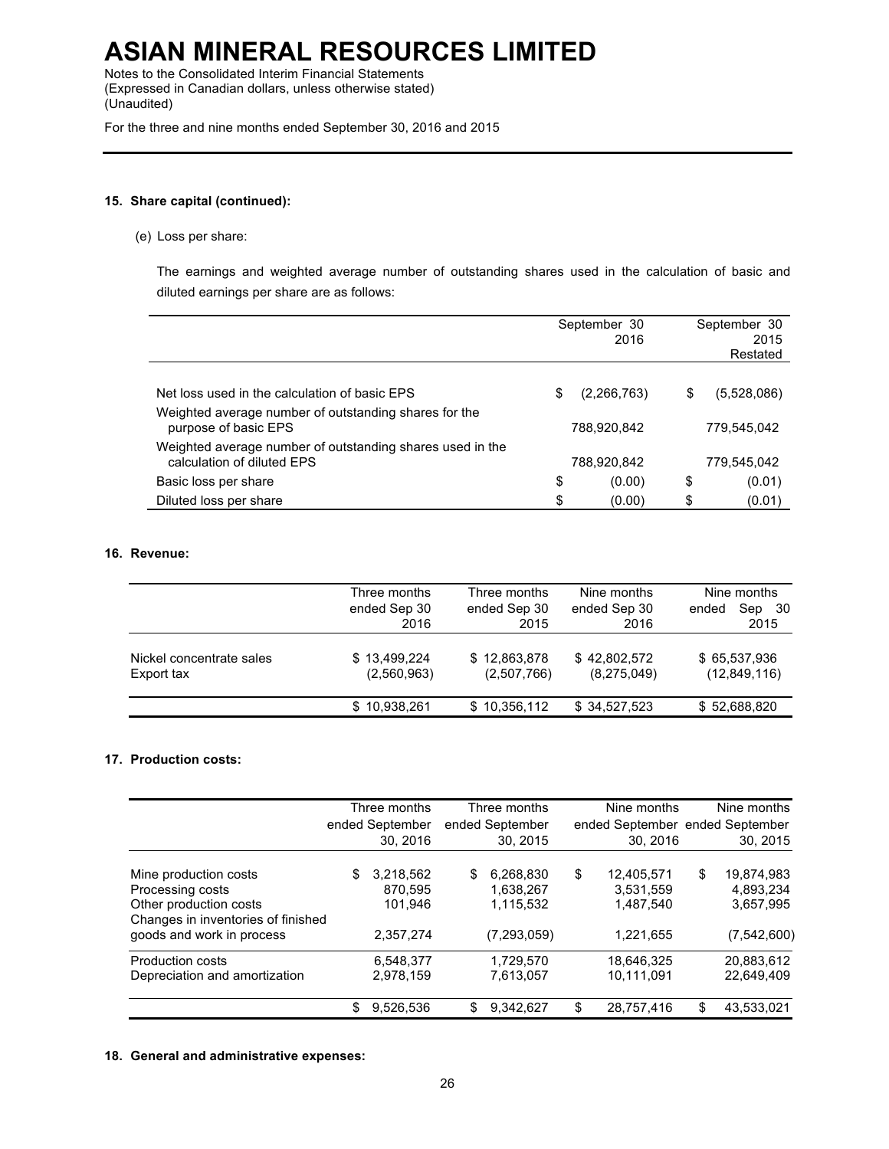Notes to the Consolidated Interim Financial Statements (Expressed in Canadian dollars, unless otherwise stated) (Unaudited)

For the three and nine months ended September 30, 2016 and 2015

## **15. Share capital (continued):**

(e) Loss per share:

The earnings and weighted average number of outstanding shares used in the calculation of basic and diluted earnings per share are as follows:

|                                                                                                        |    | September 30<br>2016 | September 30<br>2015<br>Restated |             |  |
|--------------------------------------------------------------------------------------------------------|----|----------------------|----------------------------------|-------------|--|
| Net loss used in the calculation of basic EPS<br>Weighted average number of outstanding shares for the | S  | (2, 266, 763)        | \$                               | (5.528.086) |  |
| purpose of basic EPS                                                                                   |    | 788,920,842          |                                  | 779,545,042 |  |
| Weighted average number of outstanding shares used in the<br>calculation of diluted EPS                |    | 788,920,842          |                                  | 779,545,042 |  |
| Basic loss per share                                                                                   | \$ | (0.00)               | \$                               | (0.01)      |  |
| Diluted loss per share                                                                                 | \$ | (0.00)               | S                                | (0.01)      |  |

## **16. Revenue:**

|                                        | Three months                | Three months                | Nine months                 | Nine months                  |
|----------------------------------------|-----------------------------|-----------------------------|-----------------------------|------------------------------|
|                                        | ended Sep 30<br>2016        | ended Sep 30<br>2015        | ended Sep 30<br>2016        | Sep 30<br>ended<br>2015      |
| Nickel concentrate sales<br>Export tax | \$13.499.224<br>(2,560,963) | \$12,863,878<br>(2,507,766) | \$42,802,572<br>(8,275,049) | \$65,537,936<br>(12,849,116) |
|                                        | \$10,938,261                | \$10,356,112                | \$34,527,523                | \$52,688,820                 |

## **17. Production costs:**

|                                                                                                                                        |    | Three months<br>ended September<br>30.2016   |   | Three months<br>ended September<br>30.2015           | Nine months<br>ended September ended September<br>30.2016 | Nine months<br>30, 2015                                     |
|----------------------------------------------------------------------------------------------------------------------------------------|----|----------------------------------------------|---|------------------------------------------------------|-----------------------------------------------------------|-------------------------------------------------------------|
| Mine production costs<br>Processing costs<br>Other production costs<br>Changes in inventories of finished<br>goods and work in process | S  | 3,218,562<br>870.595<br>101.946<br>2,357,274 | S | 6,268,830<br>1.638.267<br>1,115,532<br>(7, 293, 059) | \$<br>12,405,571<br>3,531,559<br>1,487,540<br>1,221,655   | \$<br>19,874,983<br>4,893,234<br>3,657,995<br>(7, 542, 600) |
| <b>Production costs</b><br>Depreciation and amortization                                                                               |    | 6.548.377<br>2,978,159                       |   | 1.729.570<br>7,613,057                               | 18.646.325<br>10,111,091                                  | 20.883.612<br>22,649,409                                    |
|                                                                                                                                        | \$ | 9,526,536                                    | S | 9,342,627                                            | \$<br>28,757,416                                          | \$<br>43,533,021                                            |

### **18. General and administrative expenses:**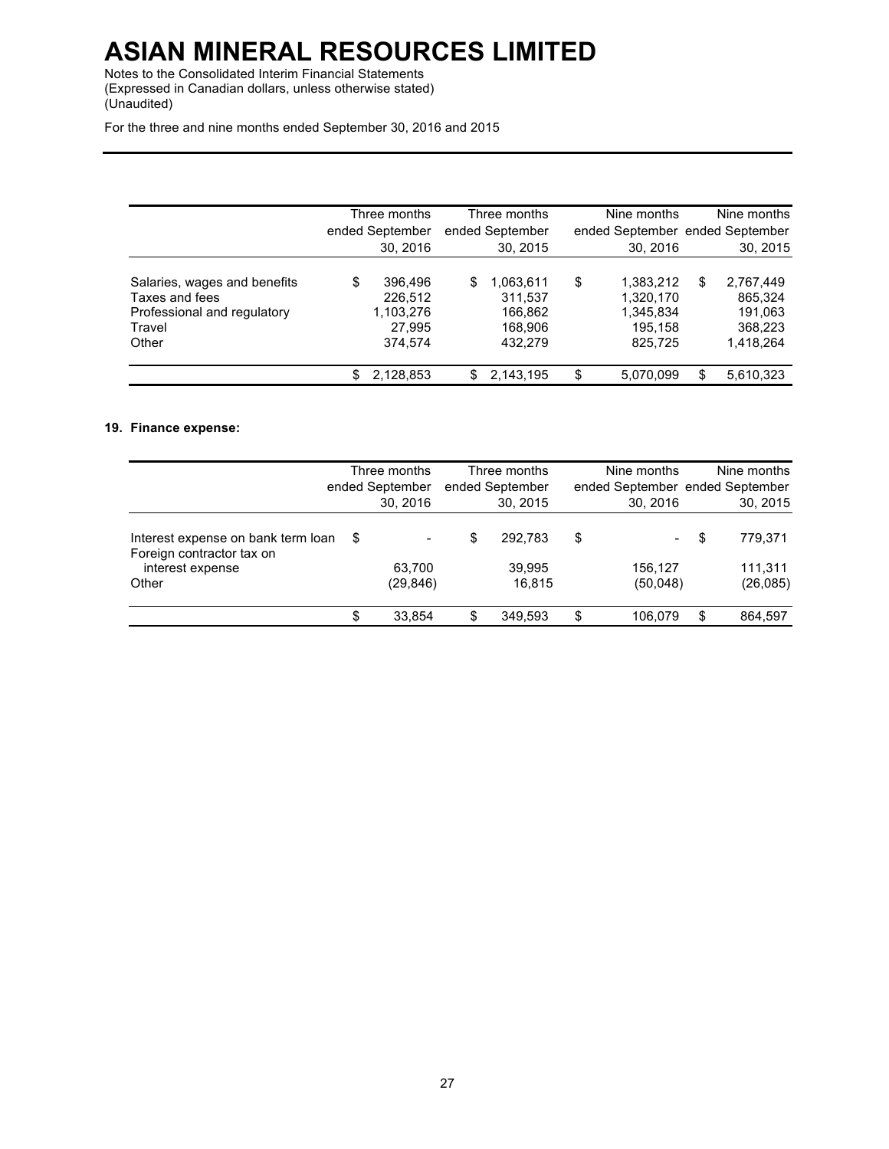Notes to the Consolidated Interim Financial Statements (Expressed in Canadian dollars, unless otherwise stated) (Unaudited)

For the three and nine months ended September 30, 2016 and 2015

|                                                                                                  | ended September | Three months<br>30, 2016                             |    | Three months<br>ended September<br>30, 2015           | Nine months<br>30, 2016                                         |    | Nine months<br>ended September ended September<br>30, 2015 |
|--------------------------------------------------------------------------------------------------|-----------------|------------------------------------------------------|----|-------------------------------------------------------|-----------------------------------------------------------------|----|------------------------------------------------------------|
| Salaries, wages and benefits<br>Taxes and fees<br>Professional and regulatory<br>Travel<br>Other | \$              | 396,496<br>226,512<br>1,103,276<br>27,995<br>374,574 | \$ | 1,063,611<br>311,537<br>166,862<br>168.906<br>432,279 | \$<br>1,383,212<br>1,320,170<br>1,345,834<br>195,158<br>825.725 | \$ | 2,767,449<br>865,324<br>191,063<br>368.223<br>1,418,264    |
|                                                                                                  | \$.             | 2,128,853                                            | S. | 2,143,195                                             | \$<br>5,070,099                                                 | S  | 5,610,323                                                  |

## **19. Finance expense:**

|                                                                                              | Three months<br>ended September<br>30, 2016 |   | Three months<br>ended September<br>30, 2015 | Nine months<br>ended September ended September<br>30.2016 |             | Nine months<br>30, 2015         |
|----------------------------------------------------------------------------------------------|---------------------------------------------|---|---------------------------------------------|-----------------------------------------------------------|-------------|---------------------------------|
| Interest expense on bank term loan<br>Foreign contractor tax on<br>interest expense<br>Other | \$<br>63.700<br>(29,846)                    | S | 292.783<br>39.995<br>16.815                 | \$<br>156.127<br>(50,048)                                 | S<br>$\sim$ | 779.371<br>111.311<br>(26, 085) |
|                                                                                              | \$<br>33.854                                | S | 349.593                                     | \$<br>106.079                                             | \$          | 864,597                         |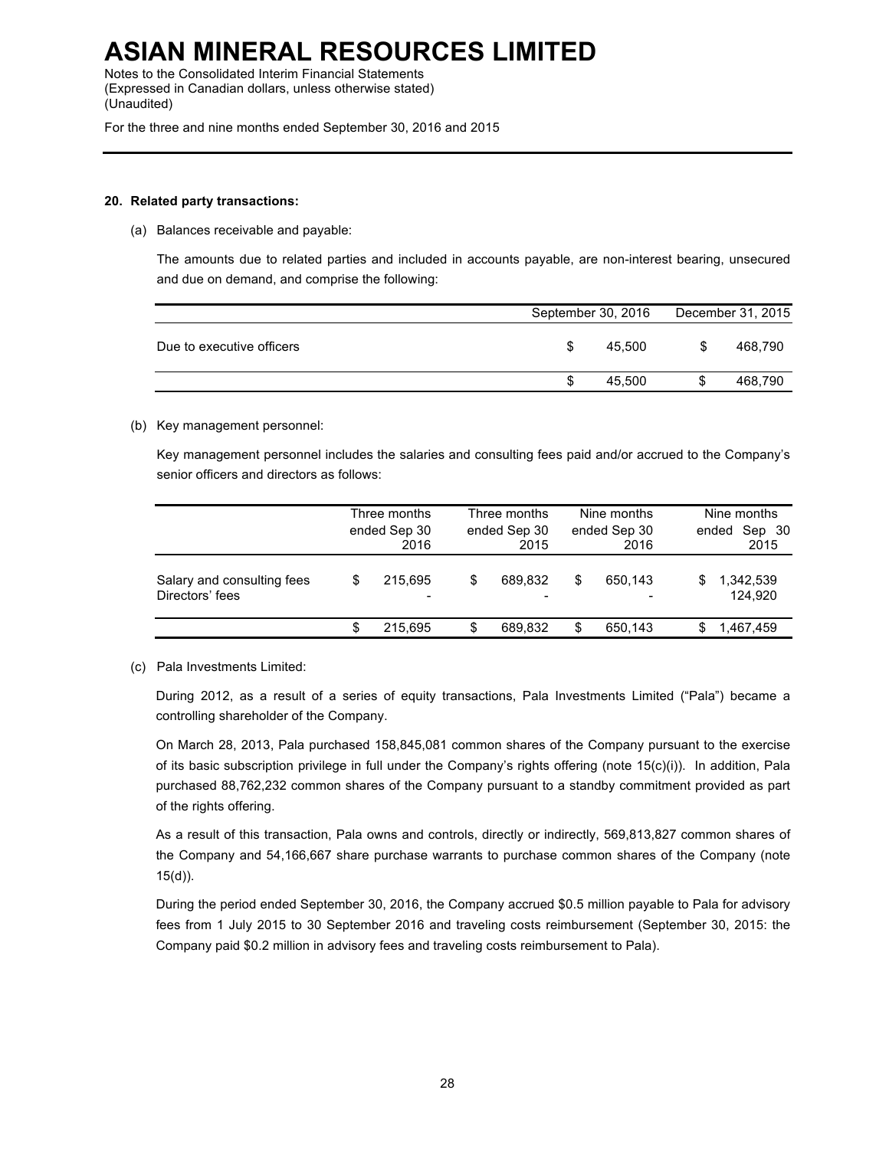Notes to the Consolidated Interim Financial Statements (Expressed in Canadian dollars, unless otherwise stated) (Unaudited)

For the three and nine months ended September 30, 2016 and 2015

### **20. Related party transactions:**

(a) Balances receivable and payable:

The amounts due to related parties and included in accounts payable, are non-interest bearing, unsecured and due on demand, and comprise the following:

|                           | September 30, 2016 |   | December 31, 2015 |  |
|---------------------------|--------------------|---|-------------------|--|
| Due to executive officers | 45.500             | S | 468.790           |  |
|                           | 45.500             | S | 468,790           |  |

## (b) Key management personnel:

Key management personnel includes the salaries and consulting fees paid and/or accrued to the Company's senior officers and directors as follows:

|                                               |   | Three months<br>ended Sep 30<br>2016 |   | Three months<br>ended Sep 30<br>2015 |    | Nine months<br>ended Sep 30<br>2016 |   | Nine months<br>Sep 30<br>ended<br>2015 |
|-----------------------------------------------|---|--------------------------------------|---|--------------------------------------|----|-------------------------------------|---|----------------------------------------|
| Salary and consulting fees<br>Directors' fees | S | 215.695<br>-                         | S | 689.832                              | S  | 650.143                             | S | 1,342,539<br>124.920                   |
|                                               |   | 215.695                              | S | 689.832                              | \$ | 650.143                             |   | 1,467,459                              |

### (c) Pala Investments Limited:

During 2012, as a result of a series of equity transactions, Pala Investments Limited ("Pala") became a controlling shareholder of the Company.

On March 28, 2013, Pala purchased 158,845,081 common shares of the Company pursuant to the exercise of its basic subscription privilege in full under the Company's rights offering (note 15(c)(i)). In addition, Pala purchased 88,762,232 common shares of the Company pursuant to a standby commitment provided as part of the rights offering.

As a result of this transaction, Pala owns and controls, directly or indirectly, 569,813,827 common shares of the Company and 54,166,667 share purchase warrants to purchase common shares of the Company (note 15(d)).

During the period ended September 30, 2016, the Company accrued \$0.5 million payable to Pala for advisory fees from 1 July 2015 to 30 September 2016 and traveling costs reimbursement (September 30, 2015: the Company paid \$0.2 million in advisory fees and traveling costs reimbursement to Pala).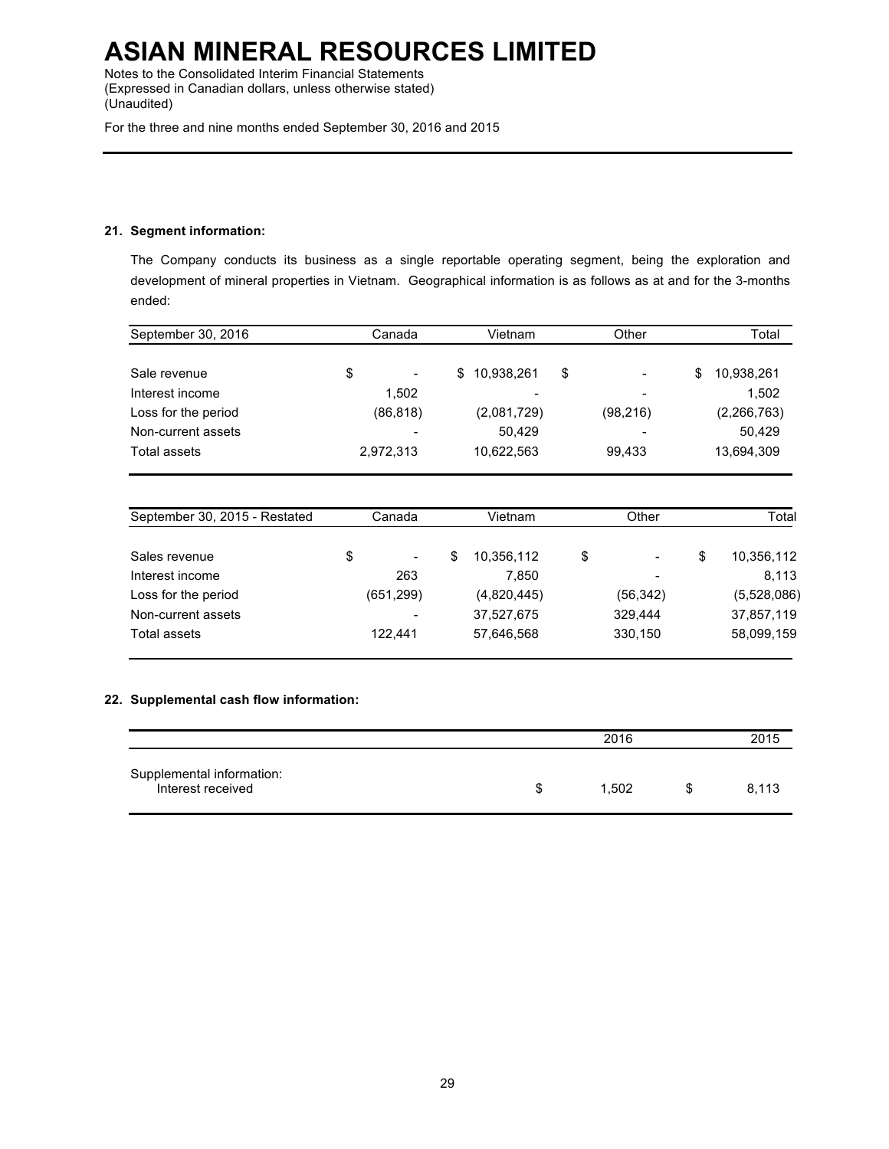Notes to the Consolidated Interim Financial Statements (Expressed in Canadian dollars, unless otherwise stated) (Unaudited)

For the three and nine months ended September 30, 2016 and 2015

## **21. Segment information:**

The Company conducts its business as a single reportable operating segment, being the exploration and development of mineral properties in Vietnam. Geographical information is as follows as at and for the 3-months ended:

| September 30, 2016            | Canada<br>Vietnam |    | Other       | Total     |                  |
|-------------------------------|-------------------|----|-------------|-----------|------------------|
| Sale revenue                  | \$                | \$ | 10,938,261  | \$        | \$<br>10,938,261 |
| Interest income               | 1,502             |    |             |           | 1,502            |
| Loss for the period           | (86, 818)         |    | (2,081,729) | (98, 216) | (2, 266, 763)    |
| Non-current assets            |                   |    | 50,429      |           | 50,429           |
| Total assets                  | 2,972,313         |    | 10,622,563  | 99,433    | 13,694,309       |
| September 30, 2015 - Restated | Canada            |    | Vietnam     | Other     | Total            |
|                               |                   |    |             |           |                  |
| Sales revenue                 | \$                | \$ | 10,356,112  | \$        | \$<br>10,356,112 |
| Interest income               | 263               |    | 7,850       |           | 8,113            |
| Loss for the period           | (651, 299)        |    | (4,820,445) | (56, 342) | (5,528,086)      |
| Non-current assets            |                   |    | 37,527,675  | 329,444   | 37,857,119       |
| Total assets                  | 122,441           |    | 57,646,568  | 330,150   | 58,099,159       |

## **22. Supplemental cash flow information:**

|                                                |   | 2016  |  |       |  |
|------------------------------------------------|---|-------|--|-------|--|
| Supplemental information:<br>Interest received | S | 1.502 |  | 8.113 |  |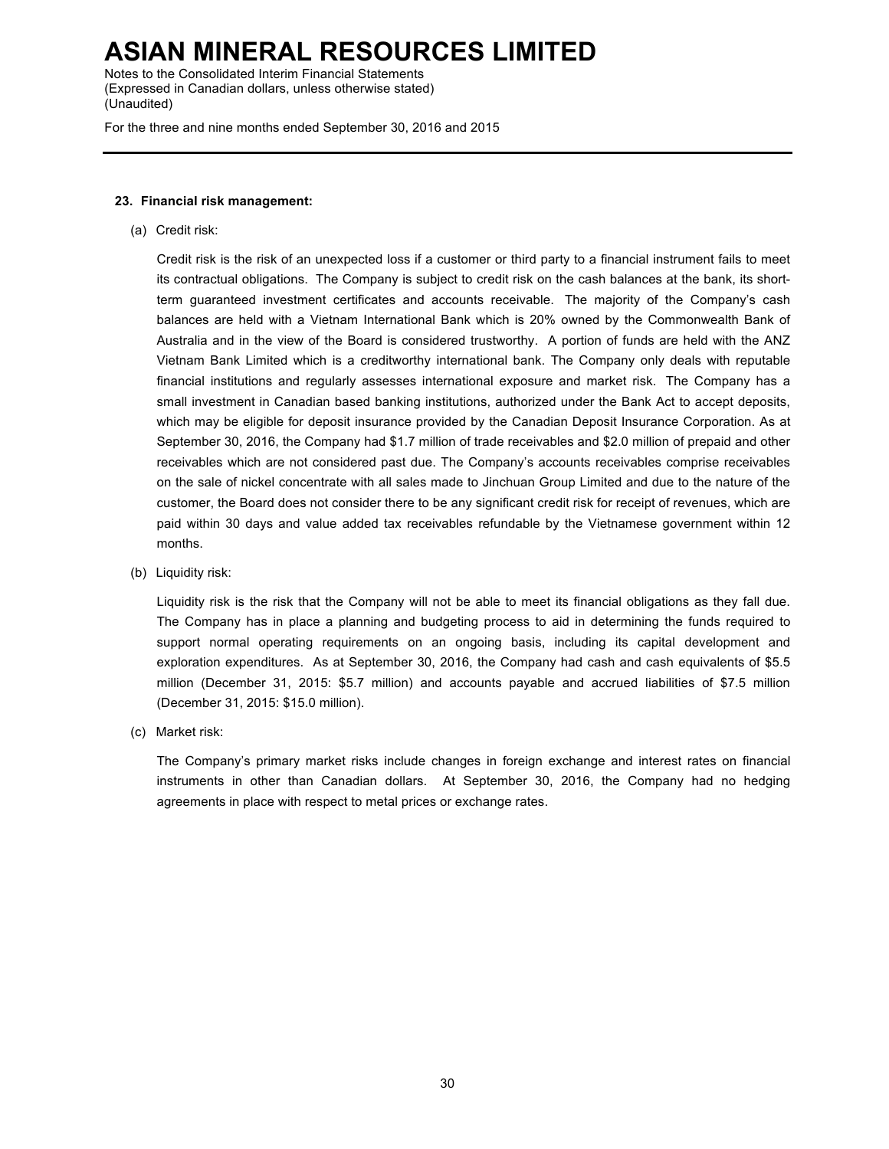Notes to the Consolidated Interim Financial Statements (Expressed in Canadian dollars, unless otherwise stated) (Unaudited)

For the three and nine months ended September 30, 2016 and 2015

## **23. Financial risk management:**

(a) Credit risk:

Credit risk is the risk of an unexpected loss if a customer or third party to a financial instrument fails to meet its contractual obligations. The Company is subject to credit risk on the cash balances at the bank, its shortterm guaranteed investment certificates and accounts receivable. The majority of the Company's cash balances are held with a Vietnam International Bank which is 20% owned by the Commonwealth Bank of Australia and in the view of the Board is considered trustworthy. A portion of funds are held with the ANZ Vietnam Bank Limited which is a creditworthy international bank. The Company only deals with reputable financial institutions and regularly assesses international exposure and market risk. The Company has a small investment in Canadian based banking institutions, authorized under the Bank Act to accept deposits, which may be eligible for deposit insurance provided by the Canadian Deposit Insurance Corporation. As at September 30, 2016, the Company had \$1.7 million of trade receivables and \$2.0 million of prepaid and other receivables which are not considered past due. The Company's accounts receivables comprise receivables on the sale of nickel concentrate with all sales made to Jinchuan Group Limited and due to the nature of the customer, the Board does not consider there to be any significant credit risk for receipt of revenues, which are paid within 30 days and value added tax receivables refundable by the Vietnamese government within 12 months.

(b) Liquidity risk:

Liquidity risk is the risk that the Company will not be able to meet its financial obligations as they fall due. The Company has in place a planning and budgeting process to aid in determining the funds required to support normal operating requirements on an ongoing basis, including its capital development and exploration expenditures. As at September 30, 2016, the Company had cash and cash equivalents of \$5.5 million (December 31, 2015: \$5.7 million) and accounts payable and accrued liabilities of \$7.5 million (December 31, 2015: \$15.0 million).

(c) Market risk:

The Company's primary market risks include changes in foreign exchange and interest rates on financial instruments in other than Canadian dollars. At September 30, 2016, the Company had no hedging agreements in place with respect to metal prices or exchange rates.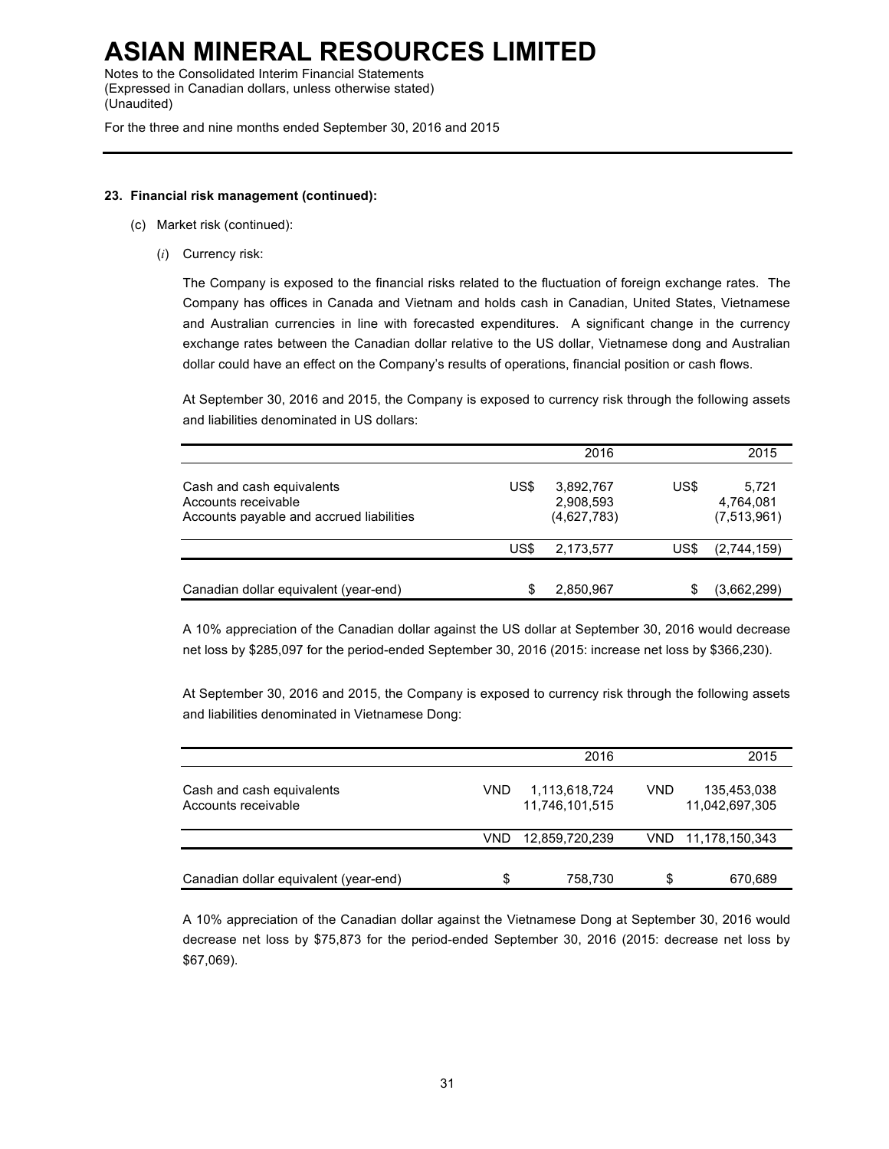Notes to the Consolidated Interim Financial Statements (Expressed in Canadian dollars, unless otherwise stated) (Unaudited)

For the three and nine months ended September 30, 2016 and 2015

## **23. Financial risk management (continued):**

- (c) Market risk (continued):
	- (*i*) Currency risk:

The Company is exposed to the financial risks related to the fluctuation of foreign exchange rates. The Company has offices in Canada and Vietnam and holds cash in Canadian, United States, Vietnamese and Australian currencies in line with forecasted expenditures. A significant change in the currency exchange rates between the Canadian dollar relative to the US dollar, Vietnamese dong and Australian dollar could have an effect on the Company's results of operations, financial position or cash flows.

At September 30, 2016 and 2015, the Company is exposed to currency risk through the following assets and liabilities denominated in US dollars:

|                                                                                              |      | 2016                                  |      | 2015                              |
|----------------------------------------------------------------------------------------------|------|---------------------------------------|------|-----------------------------------|
| Cash and cash equivalents<br>Accounts receivable<br>Accounts payable and accrued liabilities | US\$ | 3,892,767<br>2,908,593<br>(4,627,783) | US\$ | 5.721<br>4,764,081<br>(7,513,961) |
|                                                                                              | US\$ | 2,173,577                             | US\$ | (2,744,159)                       |
| Canadian dollar equivalent (year-end)                                                        |      | 2,850,967                             |      | (3,662,299)                       |

A 10% appreciation of the Canadian dollar against the US dollar at September 30, 2016 would decrease net loss by \$285,097 for the period-ended September 30, 2016 (2015: increase net loss by \$366,230).

At September 30, 2016 and 2015, the Company is exposed to currency risk through the following assets and liabilities denominated in Vietnamese Dong:

|                                                  |     | 2016                            |     | 2015                          |
|--------------------------------------------------|-----|---------------------------------|-----|-------------------------------|
| Cash and cash equivalents<br>Accounts receivable | VND | 1,113,618,724<br>11.746.101.515 | VND | 135,453,038<br>11,042,697,305 |
|                                                  | VND | 12,859,720,239                  |     | VND 11,178,150,343            |
| Canadian dollar equivalent (year-end)            | S   | 758,730                         | S   | 670,689                       |

A 10% appreciation of the Canadian dollar against the Vietnamese Dong at September 30, 2016 would decrease net loss by \$75,873 for the period-ended September 30, 2016 (2015: decrease net loss by \$67,069).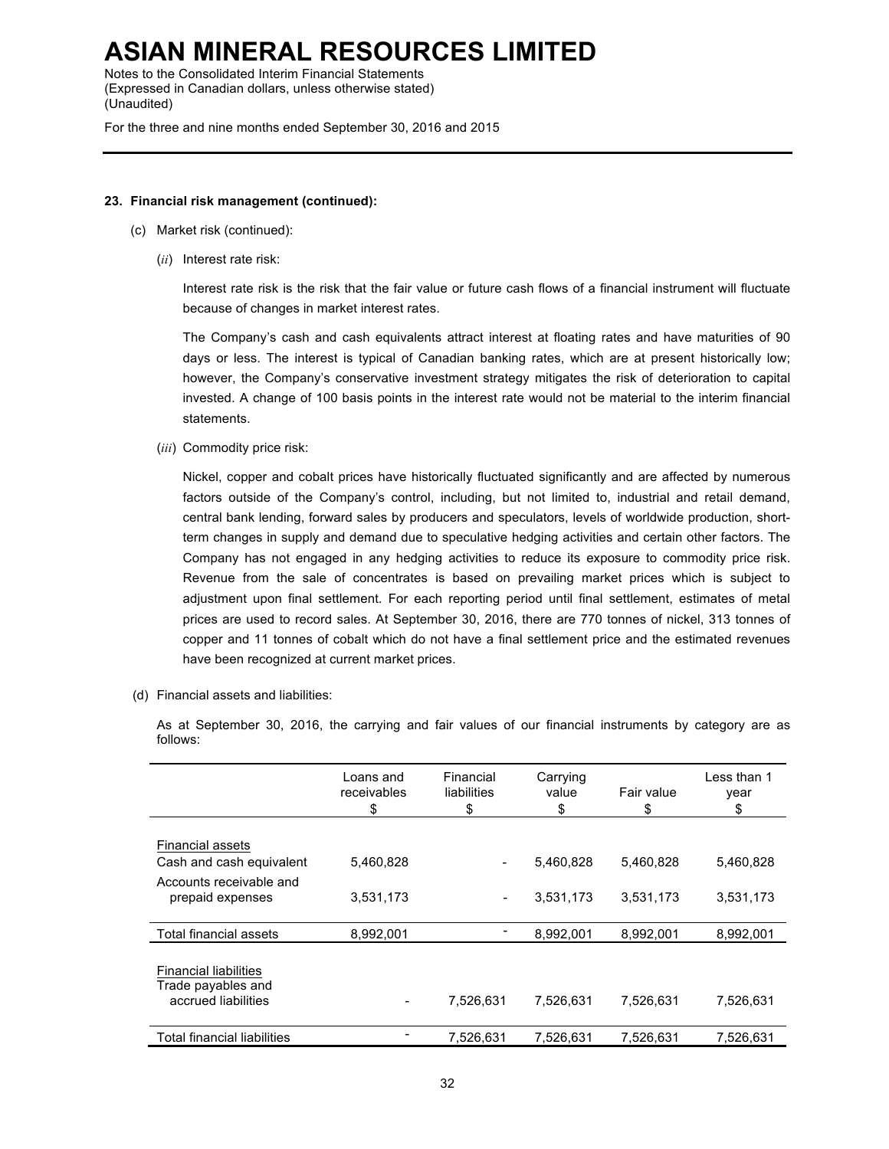Notes to the Consolidated Interim Financial Statements (Expressed in Canadian dollars, unless otherwise stated) (Unaudited)

For the three and nine months ended September 30, 2016 and 2015

### **23. Financial risk management (continued):**

- (c) Market risk (continued):
	- (*ii*) Interest rate risk:

Interest rate risk is the risk that the fair value or future cash flows of a financial instrument will fluctuate because of changes in market interest rates.

The Company's cash and cash equivalents attract interest at floating rates and have maturities of 90 days or less. The interest is typical of Canadian banking rates, which are at present historically low; however, the Company's conservative investment strategy mitigates the risk of deterioration to capital invested. A change of 100 basis points in the interest rate would not be material to the interim financial statements.

(*iii*) Commodity price risk:

Nickel, copper and cobalt prices have historically fluctuated significantly and are affected by numerous factors outside of the Company's control, including, but not limited to, industrial and retail demand, central bank lending, forward sales by producers and speculators, levels of worldwide production, shortterm changes in supply and demand due to speculative hedging activities and certain other factors. The Company has not engaged in any hedging activities to reduce its exposure to commodity price risk. Revenue from the sale of concentrates is based on prevailing market prices which is subject to adjustment upon final settlement. For each reporting period until final settlement, estimates of metal prices are used to record sales. At September 30, 2016, there are 770 tonnes of nickel, 313 tonnes of copper and 11 tonnes of cobalt which do not have a final settlement price and the estimated revenues have been recognized at current market prices.

(d) Financial assets and liabilities:

As at September 30, 2016, the carrying and fair values of our financial instruments by category are as follows:

|                                                                           | Loans and<br>receivables<br>\$ | Financial<br>liabilities<br>\$ | Carrying<br>value<br>\$ | Fair value<br>\$ | Less than 1<br>year<br>\$ |
|---------------------------------------------------------------------------|--------------------------------|--------------------------------|-------------------------|------------------|---------------------------|
| Financial assets                                                          |                                |                                |                         |                  |                           |
| Cash and cash equivalent                                                  | 5,460,828                      |                                | 5,460,828               | 5,460,828        | 5,460,828                 |
| Accounts receivable and<br>prepaid expenses                               | 3,531,173                      | $\qquad \qquad \blacksquare$   | 3,531,173               | 3,531,173        | 3,531,173                 |
| Total financial assets                                                    | 8,992,001                      |                                | 8,992,001               | 8,992,001        | 8,992,001                 |
| <b>Financial liabilities</b><br>Trade payables and<br>accrued liabilities |                                | 7,526,631                      | 7,526,631               | 7,526,631        | 7,526,631                 |
| Total financial liabilities                                               |                                | 7,526,631                      | 7.526.631               | 7.526.631        | 7.526.631                 |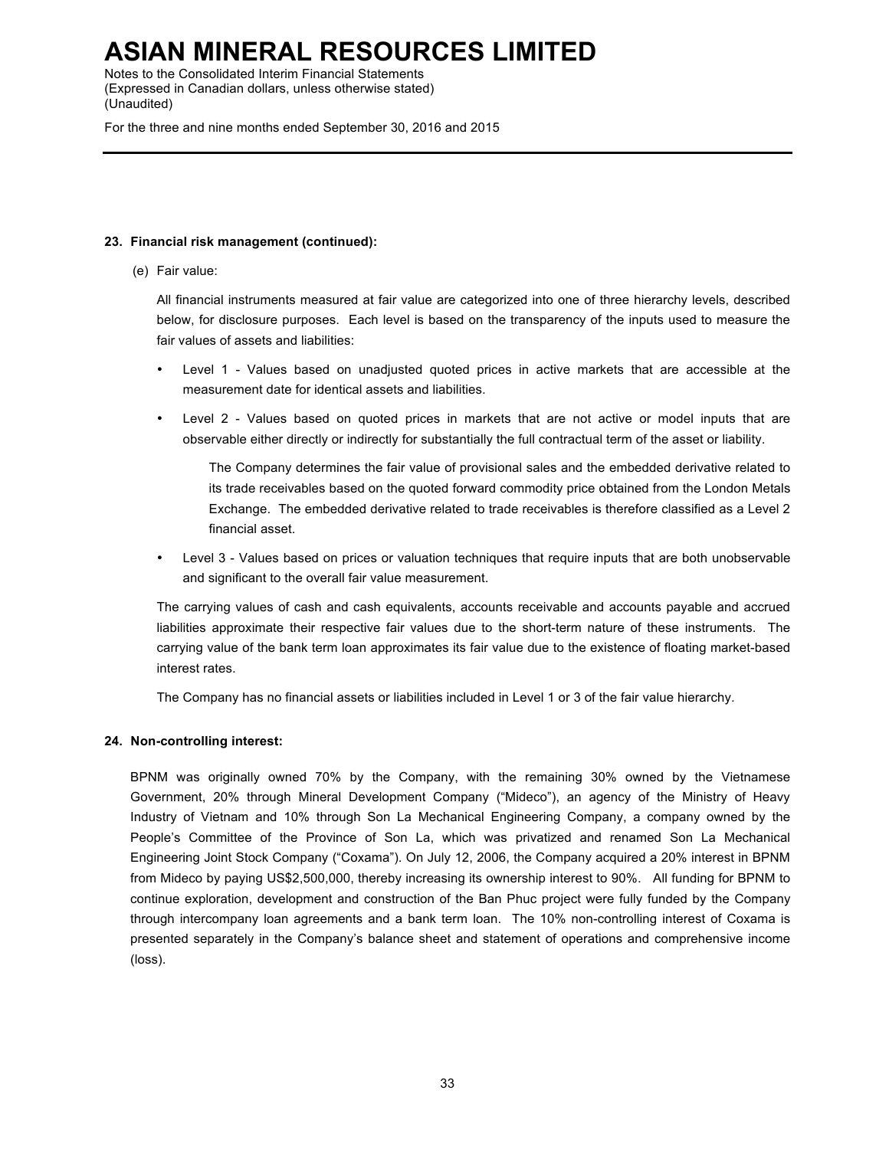Notes to the Consolidated Interim Financial Statements (Expressed in Canadian dollars, unless otherwise stated) (Unaudited)

For the three and nine months ended September 30, 2016 and 2015

## **23. Financial risk management (continued):**

(e) Fair value:

All financial instruments measured at fair value are categorized into one of three hierarchy levels, described below, for disclosure purposes. Each level is based on the transparency of the inputs used to measure the fair values of assets and liabilities:

- Level 1 Values based on unadjusted quoted prices in active markets that are accessible at the measurement date for identical assets and liabilities.
- Level 2 Values based on quoted prices in markets that are not active or model inputs that are observable either directly or indirectly for substantially the full contractual term of the asset or liability.

The Company determines the fair value of provisional sales and the embedded derivative related to its trade receivables based on the quoted forward commodity price obtained from the London Metals Exchange. The embedded derivative related to trade receivables is therefore classified as a Level 2 financial asset.

• Level 3 - Values based on prices or valuation techniques that require inputs that are both unobservable and significant to the overall fair value measurement.

The carrying values of cash and cash equivalents, accounts receivable and accounts payable and accrued liabilities approximate their respective fair values due to the short-term nature of these instruments. The carrying value of the bank term loan approximates its fair value due to the existence of floating market-based interest rates.

The Company has no financial assets or liabilities included in Level 1 or 3 of the fair value hierarchy.

## **24. Non-controlling interest:**

BPNM was originally owned 70% by the Company, with the remaining 30% owned by the Vietnamese Government, 20% through Mineral Development Company ("Mideco"), an agency of the Ministry of Heavy Industry of Vietnam and 10% through Son La Mechanical Engineering Company, a company owned by the People's Committee of the Province of Son La, which was privatized and renamed Son La Mechanical Engineering Joint Stock Company ("Coxama"). On July 12, 2006, the Company acquired a 20% interest in BPNM from Mideco by paying US\$2,500,000, thereby increasing its ownership interest to 90%. All funding for BPNM to continue exploration, development and construction of the Ban Phuc project were fully funded by the Company through intercompany loan agreements and a bank term loan. The 10% non-controlling interest of Coxama is presented separately in the Company's balance sheet and statement of operations and comprehensive income (loss).